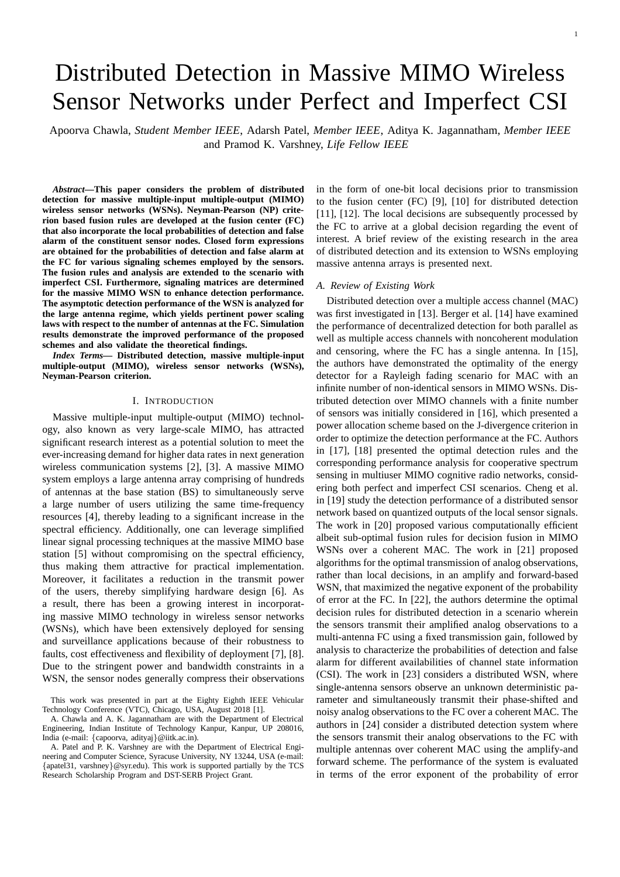# Distributed Detection in Massive MIMO Wireless Sensor Networks under Perfect and Imperfect CSI

Apoorva Chawla, *Student Member IEEE*, Adarsh Patel, *Member IEEE*, Aditya K. Jagannatham, *Member IEEE* and Pramod K. Varshney, *Life Fellow IEEE*

*Abstract***—This paper considers the problem of distributed detection for massive multiple-input multiple-output (MIMO) wireless sensor networks (WSNs). Neyman-Pearson (NP) criterion based fusion rules are developed at the fusion center (FC) that also incorporate the local probabilities of detection and false alarm of the constituent sensor nodes. Closed form expressions are obtained for the probabilities of detection and false alarm at the FC for various signaling schemes employed by the sensors. The fusion rules and analysis are extended to the scenario with imperfect CSI. Furthermore, signaling matrices are determined for the massive MIMO WSN to enhance detection performance. The asymptotic detection performance of the WSN is analyzed for the large antenna regime, which yields pertinent power scaling laws with respect to the number of antennas at the FC. Simulation results demonstrate the improved performance of the proposed schemes and also validate the theoretical findings.**

*Index Terms—* **Distributed detection, massive multiple-input multiple-output (MIMO), wireless sensor networks (WSNs), Neyman-Pearson criterion.**

## I. INTRODUCTION

Massive multiple-input multiple-output (MIMO) technology, also known as very large-scale MIMO, has attracted significant research interest as a potential solution to meet the ever-increasing demand for higher data rates in next generation wireless communication systems [2], [3]. A massive MIMO system employs a large antenna array comprising of hundreds of antennas at the base station (BS) to simultaneously serve a large number of users utilizing the same time-frequency resources [4], thereby leading to a significant increase in the spectral efficiency. Additionally, one can leverage simplified linear signal processing techniques at the massive MIMO base station [5] without compromising on the spectral efficiency, thus making them attractive for practical implementation. Moreover, it facilitates a reduction in the transmit power of the users, thereby simplifying hardware design [6]. As a result, there has been a growing interest in incorporating massive MIMO technology in wireless sensor networks (WSNs), which have been extensively deployed for sensing and surveillance applications because of their robustness to faults, cost effectiveness and flexibility of deployment [7], [8]. Due to the stringent power and bandwidth constraints in a WSN, the sensor nodes generally compress their observations in the form of one-bit local decisions prior to transmission to the fusion center (FC) [9], [10] for distributed detection [11], [12]. The local decisions are subsequently processed by the FC to arrive at a global decision regarding the event of interest. A brief review of the existing research in the area of distributed detection and its extension to WSNs employing massive antenna arrays is presented next.

#### *A. Review of Existing Work*

Distributed detection over a multiple access channel (MAC) was first investigated in [13]. Berger et al. [14] have examined the performance of decentralized detection for both parallel as well as multiple access channels with noncoherent modulation and censoring, where the FC has a single antenna. In [15], the authors have demonstrated the optimality of the energy detector for a Rayleigh fading scenario for MAC with an infinite number of non-identical sensors in MIMO WSNs. Distributed detection over MIMO channels with a finite number of sensors was initially considered in [16], which presented a power allocation scheme based on the J-divergence criterion in order to optimize the detection performance at the FC. Authors in [17], [18] presented the optimal detection rules and the corresponding performance analysis for cooperative spectrum sensing in multiuser MIMO cognitive radio networks, considering both perfect and imperfect CSI scenarios. Cheng et al. in [19] study the detection performance of a distributed sensor network based on quantized outputs of the local sensor signals. The work in [20] proposed various computationally efficient albeit sub-optimal fusion rules for decision fusion in MIMO WSNs over a coherent MAC. The work in [21] proposed algorithms for the optimal transmission of analog observations, rather than local decisions, in an amplify and forward-based WSN, that maximized the negative exponent of the probability of error at the FC. In [22], the authors determine the optimal decision rules for distributed detection in a scenario wherein the sensors transmit their amplified analog observations to a multi-antenna FC using a fixed transmission gain, followed by analysis to characterize the probabilities of detection and false alarm for different availabilities of channel state information (CSI). The work in [23] considers a distributed WSN, where single-antenna sensors observe an unknown deterministic parameter and simultaneously transmit their phase-shifted and noisy analog observations to the FC over a coherent MAC. The authors in [24] consider a distributed detection system where the sensors transmit their analog observations to the FC with multiple antennas over coherent MAC using the amplify-and forward scheme. The performance of the system is evaluated in terms of the error exponent of the probability of error

This work was presented in part at the Eighty Eighth IEEE Vehicular Technology Conference (VTC), Chicago, USA, August 2018 [1].

A. Chawla and A. K. Jagannatham are with the Department of Electrical Engineering, Indian Institute of Technology Kanpur, Kanpur, UP 208016, India (e-mail: {capoorva, adityaj}@iitk.ac.in).

A. Patel and P. K. Varshney are with the Department of Electrical Engineering and Computer Science, Syracuse University, NY 13244, USA (e-mail: {apatel31, varshney}@syr.edu). This work is supported partially by the TCS Research Scholarship Program and DST-SERB Project Grant.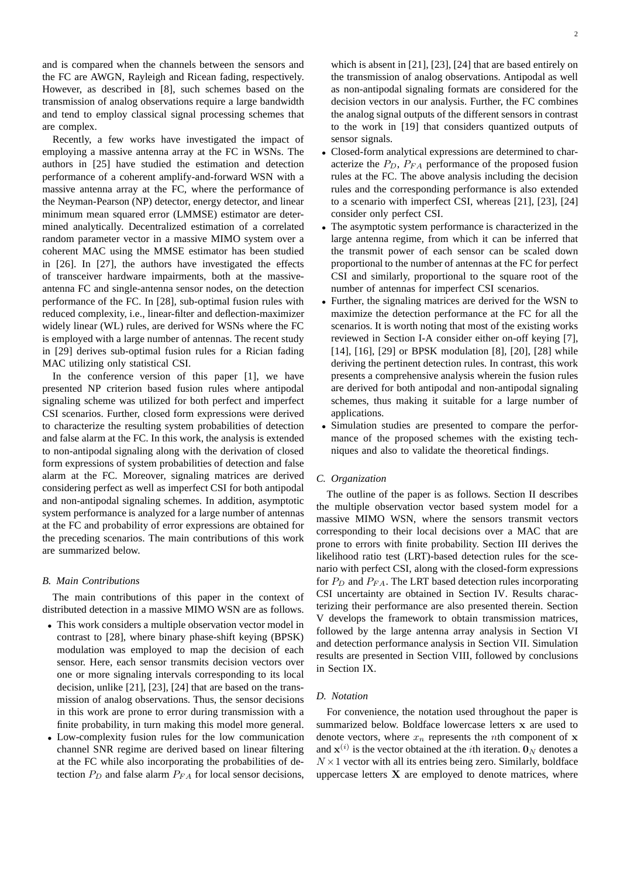and is compared when the channels between the sensors and the FC are AWGN, Rayleigh and Ricean fading, respectively. However, as described in [8], such schemes based on the transmission of analog observations require a large bandwidth and tend to employ classical signal processing schemes that are complex.

Recently, a few works have investigated the impact of employing a massive antenna array at the FC in WSNs. The authors in [25] have studied the estimation and detection performance of a coherent amplify-and-forward WSN with a massive antenna array at the FC, where the performance of the Neyman-Pearson (NP) detector, energy detector, and linear minimum mean squared error (LMMSE) estimator are determined analytically. Decentralized estimation of a correlated random parameter vector in a massive MIMO system over a coherent MAC using the MMSE estimator has been studied in [26]. In [27], the authors have investigated the effects of transceiver hardware impairments, both at the massiveantenna FC and single-antenna sensor nodes, on the detection performance of the FC. In [28], sub-optimal fusion rules with reduced complexity, i.e., linear-filter and deflection-maximizer widely linear (WL) rules, are derived for WSNs where the FC is employed with a large number of antennas. The recent study in [29] derives sub-optimal fusion rules for a Rician fading MAC utilizing only statistical CSI.

In the conference version of this paper [1], we have presented NP criterion based fusion rules where antipodal signaling scheme was utilized for both perfect and imperfect CSI scenarios. Further, closed form expressions were derived to characterize the resulting system probabilities of detection and false alarm at the FC. In this work, the analysis is extended to non-antipodal signaling along with the derivation of closed form expressions of system probabilities of detection and false alarm at the FC. Moreover, signaling matrices are derived considering perfect as well as imperfect CSI for both antipodal and non-antipodal signaling schemes. In addition, asymptotic system performance is analyzed for a large number of antennas at the FC and probability of error expressions are obtained for the preceding scenarios. The main contributions of this work are summarized below.

## *B. Main Contributions*

The main contributions of this paper in the context of distributed detection in a massive MIMO WSN are as follows.

- This work considers a multiple observation vector model in contrast to [28], where binary phase-shift keying (BPSK) modulation was employed to map the decision of each sensor. Here, each sensor transmits decision vectors over one or more signaling intervals corresponding to its local decision, unlike [21], [23], [24] that are based on the transmission of analog observations. Thus, the sensor decisions in this work are prone to error during transmission with a finite probability, in turn making this model more general.
- Low-complexity fusion rules for the low communication channel SNR regime are derived based on linear filtering at the FC while also incorporating the probabilities of detection  $P_D$  and false alarm  $P_{FA}$  for local sensor decisions,

which is absent in [21], [23], [24] that are based entirely on the transmission of analog observations. Antipodal as well as non-antipodal signaling formats are considered for the decision vectors in our analysis. Further, the FC combines the analog signal outputs of the different sensors in contrast to the work in [19] that considers quantized outputs of sensor signals.

- Closed-form analytical expressions are determined to characterize the  $P_D$ ,  $P_{FA}$  performance of the proposed fusion rules at the FC. The above analysis including the decision rules and the corresponding performance is also extended to a scenario with imperfect CSI, whereas [21], [23], [24] consider only perfect CSI.
- The asymptotic system performance is characterized in the large antenna regime, from which it can be inferred that the transmit power of each sensor can be scaled down proportional to the number of antennas at the FC for perfect CSI and similarly, proportional to the square root of the number of antennas for imperfect CSI scenarios.
- Further, the signaling matrices are derived for the WSN to maximize the detection performance at the FC for all the scenarios. It is worth noting that most of the existing works reviewed in Section I-A consider either on-off keying [7], [14], [16], [29] or BPSK modulation [8], [20], [28] while deriving the pertinent detection rules. In contrast, this work presents a comprehensive analysis wherein the fusion rules are derived for both antipodal and non-antipodal signaling schemes, thus making it suitable for a large number of applications.
- Simulation studies are presented to compare the performance of the proposed schemes with the existing techniques and also to validate the theoretical findings.

## *C. Organization*

The outline of the paper is as follows. Section II describes the multiple observation vector based system model for a massive MIMO WSN, where the sensors transmit vectors corresponding to their local decisions over a MAC that are prone to errors with finite probability. Section III derives the likelihood ratio test (LRT)-based detection rules for the scenario with perfect CSI, along with the closed-form expressions for  $P_D$  and  $P_{FA}$ . The LRT based detection rules incorporating CSI uncertainty are obtained in Section IV. Results characterizing their performance are also presented therein. Section V develops the framework to obtain transmission matrices, followed by the large antenna array analysis in Section VI and detection performance analysis in Section VII. Simulation results are presented in Section VIII, followed by conclusions in Section IX.

# *D. Notation*

For convenience, the notation used throughout the paper is summarized below. Boldface lowercase letters x are used to denote vectors, where  $x_n$  represents the *n*th component of **x** and  $\mathbf{x}^{(i)}$  is the vector obtained at the *i*th iteration. O<sub>N</sub> denotes a  $N \times 1$  vector with all its entries being zero. Similarly, boldface uppercase letters  $X$  are employed to denote matrices, where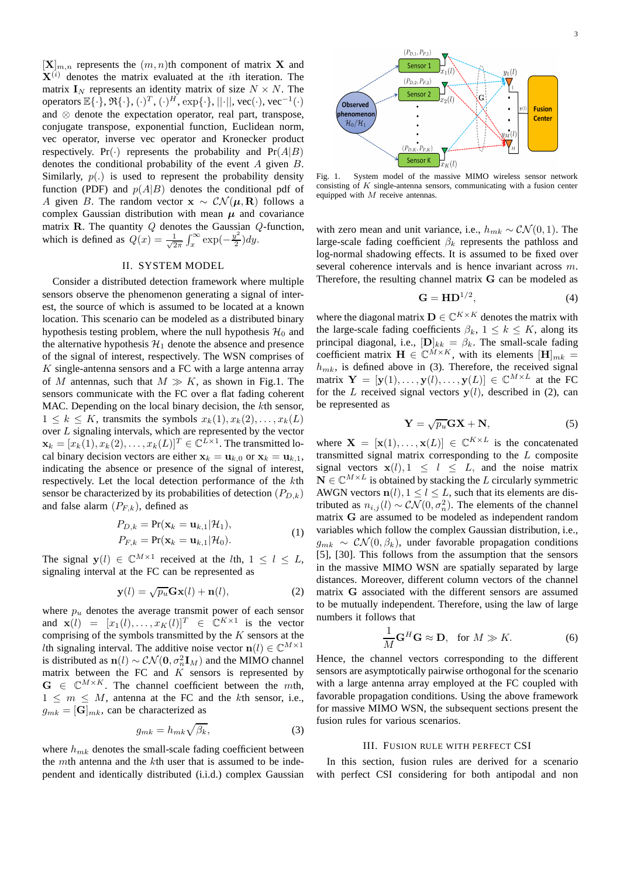$[\mathbf{X}]_{m,n}$  represents the  $(m, n)$ th component of matrix X and  $X^{(i)}$  denotes the matrix evaluated at the *i*th iteration. The matrix  $I_N$  represents an identity matrix of size  $N \times N$ . The operators  $\mathbb{E}\{\cdot\}, \mathfrak{R}\{\cdot\}, (\cdot)^{T}, (\cdot)^{H}, \exp\{\cdot\}, ||\cdot||, \text{vec}(\cdot), \text{vec}^{-1}(\cdot)$ and ⊗ denote the expectation operator, real part, transpose, conjugate transpose, exponential function, Euclidean norm, vec operator, inverse vec operator and Kronecker product respectively. Pr( $\cdot$ ) represents the probability and Pr( $A|B$ ) denotes the conditional probability of the event A given B. Similarly,  $p(.)$  is used to represent the probability density function (PDF) and  $p(A|B)$  denotes the conditional pdf of A given B. The random vector  $\mathbf{x} \sim \mathcal{CN}(\boldsymbol{\mu}, \mathbf{R})$  follows a complex Gaussian distribution with mean  $\mu$  and covariance matrix **R**. The quantity  $Q$  denotes the Gaussian  $Q$ -function, which is defined as  $Q(x) = \frac{1}{\sqrt{2}}$  $rac{1}{2\pi} \int_x^\infty \exp(-\frac{y^2}{2})$  $\frac{y}{2}$ )dy.

### II. SYSTEM MODEL

Consider a distributed detection framework where multiple sensors observe the phenomenon generating a signal of interest, the source of which is assumed to be located at a known location. This scenario can be modeled as a distributed binary hypothesis testing problem, where the null hypothesis  $\mathcal{H}_0$  and the alternative hypothesis  $\mathcal{H}_1$  denote the absence and presence of the signal of interest, respectively. The WSN comprises of  $K$  single-antenna sensors and a FC with a large antenna array of M antennas, such that  $M \gg K$ , as shown in Fig.1. The sensors communicate with the FC over a flat fading coherent MAC. Depending on the local binary decision, the kth sensor,  $1 \leq k \leq K$ , transmits the symbols  $x_k(1), x_k(2), \ldots, x_k(L)$ over L signaling intervals, which are represented by the vector  $\mathbf{x}_k = [x_k(1), x_k(2), \dots, x_k(L)]^T \in \mathbb{C}^{L \times 1}$ . The transmitted local binary decision vectors are either  $x_k = u_{k,0}$  or  $x_k = u_{k,1}$ , indicating the absence or presence of the signal of interest, respectively. Let the local detection performance of the kth sensor be characterized by its probabilities of detection  $(P_{D,k})$ and false alarm  $(P_{F,k})$ , defined as

$$
P_{D,k} = \Pr(\mathbf{x}_k = \mathbf{u}_{k,1} | \mathcal{H}_1),
$$
  
\n
$$
P_{F,k} = \Pr(\mathbf{x}_k = \mathbf{u}_{k,1} | \mathcal{H}_0).
$$
\n(1)

The signal  $y(l) \in \mathbb{C}^{M \times 1}$  received at the *lth*,  $1 \le l \le L$ , signaling interval at the FC can be represented as

$$
\mathbf{y}(l) = \sqrt{p_u} \mathbf{G} \mathbf{x}(l) + \mathbf{n}(l),\tag{2}
$$

where  $p_u$  denotes the average transmit power of each sensor and  $\mathbf{x}(l) = [x_1(l), \dots, x_K(l)]^T \in \mathbb{C}^{K \times 1}$  is the vector comprising of the symbols transmitted by the  $K$  sensors at the *l*th signaling interval. The additive noise vector  $n(l) \in \mathbb{C}^{M \times 1}$ is distributed as  $n(l) \sim \mathcal{CN}(\mathbf{0}, \sigma_n^2 \mathbf{I}_M)$  and the MIMO channel matrix between the FC and  $K$  sensors is represented by  $G \in \mathbb{C}^{M \times K}$ . The channel coefficient between the mth,  $1 \leq m \leq M$ , antenna at the FC and the kth sensor, i.e.,  $g_{mk} = [\mathbf{G}]_{mk}$ , can be characterized as

$$
g_{mk} = h_{mk}\sqrt{\beta_k},\tag{3}
$$

where  $h_{mk}$  denotes the small-scale fading coefficient between the mth antenna and the kth user that is assumed to be independent and identically distributed (i.i.d.) complex Gaussian



Fig. 1. System model of the massive MIMO wireless sensor network consisting of  $K$  single-antenna sensors, communicating with a fusion center equipped with M receive antennas.

with zero mean and unit variance, i.e.,  $h_{mk} \sim \mathcal{CN}(0, 1)$ . The large-scale fading coefficient  $\beta_k$  represents the pathloss and log-normal shadowing effects. It is assumed to be fixed over several coherence intervals and is hence invariant across m. Therefore, the resulting channel matrix G can be modeled as

$$
\mathbf{G} = \mathbf{H} \mathbf{D}^{1/2},\tag{4}
$$

where the diagonal matrix  $\mathbf{D} \in \mathbb{C}^{K \times K}$  denotes the matrix with the large-scale fading coefficients  $\beta_k$ ,  $1 \leq k \leq K$ , along its principal diagonal, i.e.,  $[D]_{kk} = \beta_k$ . The small-scale fading coefficient matrix  $\mathbf{H} \in \mathbb{C}^{\tilde{M} \times K}$ , with its elements  $[\mathbf{H}]_{mk} =$  $h_{mk}$ , is defined above in (3). Therefore, the received signal matrix  $\mathbf{Y} = [\mathbf{y}(1), \dots, \mathbf{y}(l), \dots, \mathbf{y}(L)] \in \mathbb{C}^{M \times L}$  at the FC for the L received signal vectors  $y(l)$ , described in (2), can be represented as

$$
\mathbf{Y} = \sqrt{p_u} \mathbf{G} \mathbf{X} + \mathbf{N},\tag{5}
$$

where  $\mathbf{X} = [\mathbf{x}(1), \dots, \mathbf{x}(L)] \in \mathbb{C}^{K \times L}$  is the concatenated transmitted signal matrix corresponding to the  $L$  composite signal vectors  $x(l), 1 \le l \le L$ , and the noise matrix  $\mathbf{N} \in \mathbb{C}^{M \times L}$  is obtained by stacking the L circularly symmetric AWGN vectors  $n(l)$ ,  $1 \le l \le L$ , such that its elements are distributed as  $n_{i,j}(l) \sim \mathcal{CN}(0, \sigma_n^2)$ . The elements of the channel matrix G are assumed to be modeled as independent random variables which follow the complex Gaussian distribution, i.e.,  $g_{mk} \sim \mathcal{CN}(0, \beta_k)$ , under favorable propagation conditions [5], [30]. This follows from the assumption that the sensors in the massive MIMO WSN are spatially separated by large distances. Moreover, different column vectors of the channel matrix G associated with the different sensors are assumed to be mutually independent. Therefore, using the law of large numbers it follows that

$$
\frac{1}{M}\mathbf{G}^H\mathbf{G} \approx \mathbf{D}, \text{ for } M \gg K. \tag{6}
$$

Hence, the channel vectors corresponding to the different sensors are asymptotically pairwise orthogonal for the scenario with a large antenna array employed at the FC coupled with favorable propagation conditions. Using the above framework for massive MIMO WSN, the subsequent sections present the fusion rules for various scenarios.

# III. FUSION RULE WITH PERFECT CSI

In this section, fusion rules are derived for a scenario with perfect CSI considering for both antipodal and non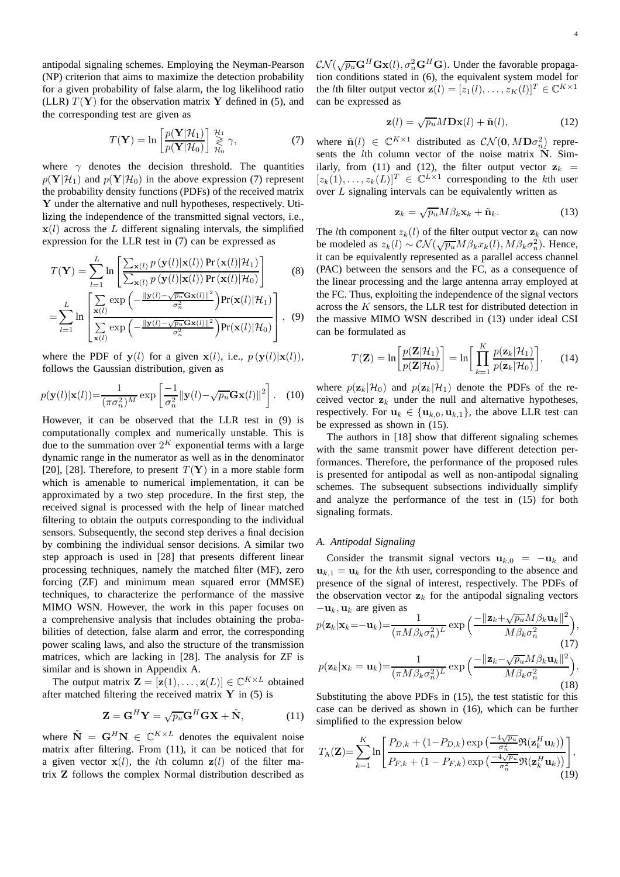antipodal signaling schemes. Employing the Neyman-Pearson (NP) criterion that aims to maximize the detection probability for a given probability of false alarm, the log likelihood ratio (LLR)  $T(Y)$  for the observation matrix Y defined in (5), and the corresponding test are given as

$$
T(\mathbf{Y}) = \ln \left[ \frac{p(\mathbf{Y}|\mathcal{H}_1)}{p(\mathbf{Y}|\mathcal{H}_0)} \right] \underset{\mathcal{H}_0}{\overset{\mathcal{H}_1}{\geq}} \gamma, \tag{7}
$$

where  $\gamma$  denotes the decision threshold. The quantities  $p(Y|\mathcal{H}_1)$  and  $p(Y|\mathcal{H}_0)$  in the above expression (7) represent the probability density functions (PDFs) of the received matrix Y under the alternative and null hypotheses, respectively. Utilizing the independence of the transmitted signal vectors, i.e.,  $x(l)$  across the L different signaling intervals, the simplified expression for the LLR test in (7) can be expressed as

$$
T(\mathbf{Y}) = \sum_{l=1}^{L} \ln \left[ \frac{\sum_{\mathbf{x}(l)} p(\mathbf{y}(l)|\mathbf{x}(l)) \Pr(\mathbf{x}(l)|\mathcal{H}_1)}{\sum_{\mathbf{x}(l)} p(\mathbf{y}(l)|\mathbf{x}(l)) \Pr(\mathbf{x}(l)|\mathcal{H}_0)} \right]
$$
(8)

$$
= \sum_{l=1}^{L} \ln \left[ \frac{\sum_{\mathbf{x}(l)} \exp \left( -\frac{\|\mathbf{y}(l) - \sqrt{p_u} \mathbf{G} \mathbf{x}(l)\|^2}{\sigma_n^2} \right) \Pr(\mathbf{x}(l) | \mathcal{H}_1)}{\sum_{\mathbf{x}(l)} \exp \left( -\frac{\|\mathbf{y}(l) - \sqrt{p_u} \mathbf{G} \mathbf{x}(l)\|^2}{\sigma_n^2} \right) \Pr(\mathbf{x}(l) | \mathcal{H}_0)} \right], \quad (9)
$$

where the PDF of  $y(l)$  for a given  $x(l)$ , i.e.,  $p(y(l)|x(l))$ , follows the Gaussian distribution, given as

$$
p(\mathbf{y}(l)|\mathbf{x}(l)) = \frac{1}{(\pi \sigma_n^2)^M} \exp\left[\frac{-1}{\sigma_n^2} ||\mathbf{y}(l) - \sqrt{p_u} \mathbf{G} \mathbf{x}(l)||^2\right].
$$
 (10)

However, it can be observed that the LLR test in (9) is computationally complex and numerically unstable. This is due to the summation over  $2^K$  exponential terms with a large dynamic range in the numerator as well as in the denominator [20], [28]. Therefore, to present  $T(Y)$  in a more stable form which is amenable to numerical implementation, it can be approximated by a two step procedure. In the first step, the received signal is processed with the help of linear matched filtering to obtain the outputs corresponding to the individual sensors. Subsequently, the second step derives a final decision by combining the individual sensor decisions. A similar two step approach is used in [28] that presents different linear processing techniques, namely the matched filter (MF), zero forcing (ZF) and minimum mean squared error (MMSE) techniques, to characterize the performance of the massive MIMO WSN. However, the work in this paper focuses on a comprehensive analysis that includes obtaining the probabilities of detection, false alarm and error, the corresponding power scaling laws, and also the structure of the transmission matrices, which are lacking in [28]. The analysis for ZF is similar and is shown in Appendix A.

The output matrix  $\mathbf{Z} = [\mathbf{z}(1), \dots, \mathbf{z}(L)] \in \mathbb{C}^{K \times L}$  obtained after matched filtering the received matrix  $Y$  in (5) is

$$
\mathbf{Z} = \mathbf{G}^H \mathbf{Y} = \sqrt{p_u} \mathbf{G}^H \mathbf{G} \mathbf{X} + \tilde{\mathbf{N}},
$$
 (11)

where  $\tilde{\mathbf{N}} = \mathbf{G}^H \mathbf{N} \in \mathbb{C}^{K \times L}$  denotes the equivalent noise matrix after filtering. From (11), it can be noticed that for a given vector  $x(l)$ , the *l*th column  $z(l)$  of the filter matrix Z follows the complex Normal distribution described as

 $\mathcal{CN}(\sqrt{p_u}\mathbf{G}^H\mathbf{G}\mathbf{x}(l), \sigma_n^2\mathbf{G}^H\mathbf{G})$ . Under the favorable propagation conditions stated in (6), the equivalent system model for the *l*th filter output vector  $\mathbf{z}(l) = [z_1(l), \dots, z_K(l)]^T \in \mathbb{C}^{K \times 1}$ can be expressed as

$$
\mathbf{z}(l) = \sqrt{p_u} M \mathbf{D} \mathbf{x}(l) + \tilde{\mathbf{n}}(l), \qquad (12)
$$

where  $\tilde{\mathbf{n}}(l) \in \mathbb{C}^{K \times 1}$  distributed as  $\mathcal{CN}(\mathbf{0}, M\mathbf{D}\sigma_n^2)$  represents the  $l$ th column vector of the noise matrix  $\tilde{N}$ . Similarly, from (11) and (12), the filter output vector  $z_k$  =  $[z_k(1),...,z_k(L)]^T \in \mathbb{C}^{L \times 1}$  corresponding to the kth user over  $L$  signaling intervals can be equivalently written as

$$
\mathbf{z}_k = \sqrt{p_u} M \beta_k \mathbf{x}_k + \tilde{\mathbf{n}}_k. \tag{13}
$$

The *l*th component  $z_k(l)$  of the filter output vector  $z_k$  can now be modeled as  $z_k(l) \sim \mathcal{CN}(\sqrt{p_u}M\beta_k x_k(l), M\beta_k \sigma_n^2)$ . Hence, it can be equivalently represented as a parallel access channel (PAC) between the sensors and the FC, as a consequence of the linear processing and the large antenna array employed at the FC. Thus, exploiting the independence of the signal vectors across the K sensors, the LLR test for distributed detection in the massive MIMO WSN described in (13) under ideal CSI can be formulated as

$$
T(\mathbf{Z}) = \ln \left[ \frac{p(\mathbf{Z}|\mathcal{H}_1)}{p(\mathbf{Z}|\mathcal{H}_0)} \right] = \ln \left[ \prod_{k=1}^{K} \frac{p(\mathbf{z}_k|\mathcal{H}_1)}{p(\mathbf{z}_k|\mathcal{H}_0)} \right], \quad (14)
$$

where  $p(\mathbf{z}_k|\mathcal{H}_0)$  and  $p(\mathbf{z}_k|\mathcal{H}_1)$  denote the PDFs of the received vector  $z_k$  under the null and alternative hypotheses, respectively. For  $\mathbf{u}_k \in {\{\mathbf{u}_{k,0}, \mathbf{u}_{k,1}\}}$ , the above LLR test can be expressed as shown in (15).

The authors in [18] show that different signaling schemes with the same transmit power have different detection performances. Therefore, the performance of the proposed rules is presented for antipodal as well as non-antipodal signaling schemes. The subsequent subsections individually simplify and analyze the performance of the test in (15) for both signaling formats.

## *A. Antipodal Signaling*

Consider the transmit signal vectors  $u_{k,0} = -u_k$  and  $u_{k,1} = u_k$  for the kth user, corresponding to the absence and presence of the signal of interest, respectively. The PDFs of the observation vector  $z_k$  for the antipodal signaling vectors  $-\mathbf{u}_k$ ,  $\mathbf{u}_k$  are given as

$$
p(\mathbf{z}_k|\mathbf{x}_k = -\mathbf{u}_k) = \frac{1}{(\pi M \beta_k \sigma_n^2)^L} \exp\left(\frac{-\|\mathbf{z}_k + \sqrt{p_u} M \beta_k \mathbf{u}_k\|^2}{M \beta_k \sigma_n^2}\right),
$$
\n(17)  
\n
$$
p(\mathbf{z}_k|\mathbf{x}_k = \mathbf{u}_k) = \frac{1}{(\pi M \beta_k \sigma_n^2)^L} \exp\left(\frac{-\|\mathbf{z}_k - \sqrt{p_u} M \beta_k \mathbf{u}_k\|^2}{M \beta_k \sigma_n^2}\right).
$$
\n(18)

Substituting the above PDFs in (15), the test statistic for this case can be derived as shown in (16), which can be further simplified to the expression below

$$
T_{\mathbf{A}}(\mathbf{Z}) = \sum_{k=1}^{K} \ln \left[ \frac{P_{D,k} + (1 - P_{D,k}) \exp\left(\frac{-4\sqrt{p_u}}{\sigma_n^2} \Re(\mathbf{z}_k^H \mathbf{u}_k)\right)}{P_{F,k} + (1 - P_{F,k}) \exp\left(\frac{-4\sqrt{p_u}}{\sigma_n^2} \Re(\mathbf{z}_k^H \mathbf{u}_k)\right)} \right],
$$
\n(19)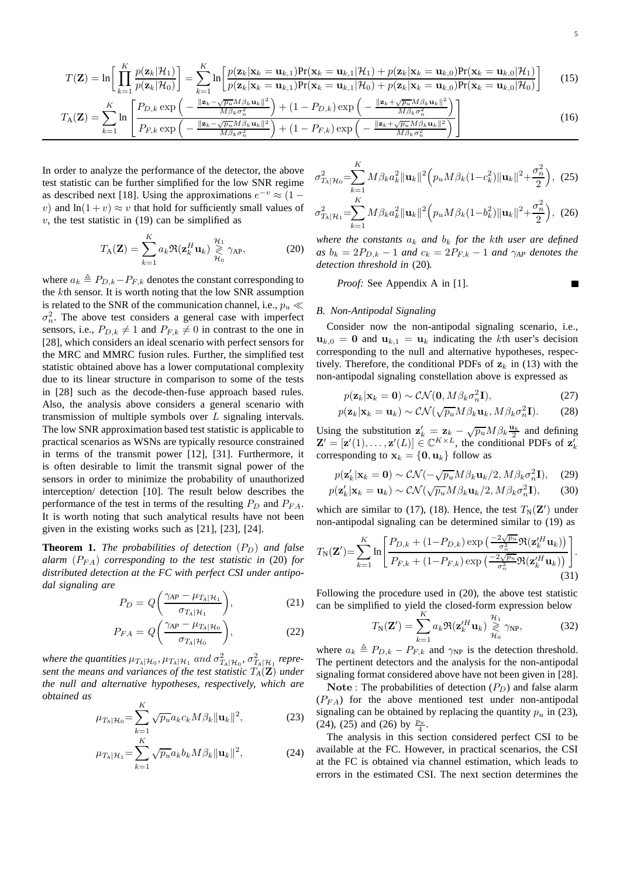5

$$
T(\mathbf{Z}) = \ln\left[\prod_{k=1}^{K} \frac{p(\mathbf{z}_k|\mathcal{H}_1)}{p(\mathbf{z}_k|\mathcal{H}_0)}\right] = \sum_{k=1}^{K} \ln\left[\frac{p(\mathbf{z}_k|\mathbf{x}_k = \mathbf{u}_{k,1})\Pr(\mathbf{x}_k = \mathbf{u}_{k,1}|\mathcal{H}_1) + p(\mathbf{z}_k|\mathbf{x}_k = \mathbf{u}_{k,0})\Pr(\mathbf{x}_k = \mathbf{u}_{k,0}|\mathcal{H}_1)}{p(\mathbf{z}_k|\mathbf{x}_k = \mathbf{u}_{k,1})\Pr(\mathbf{x}_k = \mathbf{u}_{k,1}|\mathcal{H}_0) + p(\mathbf{z}_k|\mathbf{x}_k = \mathbf{u}_{k,0})\Pr(\mathbf{x}_k = \mathbf{u}_{k,0}|\mathcal{H}_0)}\right]
$$
(15)  

$$
\sum_{k=1}^{K} \left[\sum_{k=1}^{K} p_{k,k} \exp\left(-\frac{\|\mathbf{z}_k - \sqrt{p_{k,k}}\mathbf{M}\beta_k\mathbf{u}_k\|^2}{M\beta_k\sigma_n^2}\right) + (1 - P_{D,k}) \exp\left(-\frac{\|\mathbf{z}_k + \sqrt{p_{k,k}}\mathbf{M}\beta_k\mathbf{u}_k\|^2}{M\beta_k\sigma_n^2}\right)\right]
$$

$$
T_{A}(\mathbf{Z}) = \sum_{k=1}^{\infty} \ln \left[ \frac{P_{D,k} \exp \left( -\frac{m_{\beta k} \sigma_n^2}{M_{\beta k} \sigma_n^2} \right) + (1 - P_{D,k}) \exp \left( -\frac{m_{\beta k} \sigma_n^2}{M_{\beta k} \sigma_n^2} \right)}{P_{F,k} \exp \left( -\frac{\| \mathbf{z}_k - \sqrt{p_u} M_{\beta k} \mathbf{u}_k \|^2}{M_{\beta k} \sigma_n^2} \right) + (1 - P_{F,k}) \exp \left( -\frac{\| \mathbf{z}_k + \sqrt{p_u} M_{\beta k} \mathbf{u}_k \|^2}{M_{\beta k} \sigma_n^2} \right)}{16} \right]
$$
(16)

In order to analyze the performance of the detector, the above test statistic can be further simplified for the low SNR regime as described next [18]. Using the approximations  $e^{-v} \approx (1$ v) and  $\ln(1 + v) \approx v$  that hold for sufficiently small values of  $v$ , the test statistic in (19) can be simplified as

$$
T_{\mathbf{A}}(\mathbf{Z}) = \sum_{k=1}^{K} a_k \Re(\mathbf{z}_k^H \mathbf{u}_k) \underset{\mathcal{H}_0}{\geq} \gamma_{\mathbf{A} \mathbf{P}}, \tag{20}
$$

where  $a_k \triangleq P_{D,k}-P_{F,k}$  denotes the constant corresponding to the kth sensor. It is worth noting that the low SNR assumption is related to the SNR of the communication channel, i.e.,  $p_u \ll$  $\sigma_n^2$ . The above test considers a general case with imperfect sensors, i.e.,  $P_{D,k} \neq 1$  and  $P_{F,k} \neq 0$  in contrast to the one in [28], which considers an ideal scenario with perfect sensors for the MRC and MMRC fusion rules. Further, the simplified test statistic obtained above has a lower computational complexity due to its linear structure in comparison to some of the tests in [28] such as the decode-then-fuse approach based rules. Also, the analysis above considers a general scenario with transmission of multiple symbols over L signaling intervals. The low SNR approximation based test statistic is applicable to practical scenarios as WSNs are typically resource constrained in terms of the transmit power [12], [31]. Furthermore, it is often desirable to limit the transmit signal power of the sensors in order to minimize the probability of unauthorized interception/ detection [10]. The result below describes the performance of the test in terms of the resulting  $P_D$  and  $P_{FA}$ . It is worth noting that such analytical results have not been given in the existing works such as [21], [23], [24].

**Theorem 1.** *The probabilities of detection*  $(P_D)$  *and false alarm*  $(P_{FA})$  *corresponding to the test statistic in* (20) *for distributed detection at the FC with perfect CSI under antipodal signaling are*

$$
P_D = Q\left(\frac{\gamma_{AP} - \mu_{T_A|\mathcal{H}_1}}{\sigma_{T_A|\mathcal{H}_1}}\right),\tag{21}
$$

$$
P_{FA} = Q\left(\frac{\gamma_{AP} - \mu_{T_A|\mathcal{H}_0}}{\sigma_{T_A|\mathcal{H}_0}}\right),\tag{22}
$$

where the quantities  $\mu_{T_A|\mathcal{H}_0}, \mu_{T_A|\mathcal{H}_1}$  and  $\sigma^2_{T_A|\mathcal{H}_0}, \sigma^2_{T_A|\mathcal{H}_1}$  repre*sent the means and variances of the test statistic* T*A*(Z) *under the null and alternative hypotheses, respectively, which are obtained as*  $\overline{r}$ 

$$
\mu_{T_A|\mathcal{H}_0} = \sum_{k=1}^N \sqrt{p_u} a_k c_k M \beta_k ||\mathbf{u}_k||^2, \tag{23}
$$

$$
\mu_{T_A|\mathcal{H}_1} = \sum_{k=1}^K \sqrt{p_u} a_k b_k M \beta_k ||\mathbf{u}_k||^2, \tag{24}
$$

$$
\sigma_{T_A|\mathcal{H}_0}^2 = \sum_{k=1}^K M \beta_k a_k^2 \|\mathbf{u}_k\|^2 \left( p_u M \beta_k (1 - c_k^2) \|\mathbf{u}_k\|^2 + \frac{\sigma_n^2}{2} \right), \tag{25}
$$

$$
\sigma_{T_A|\mathcal{H}_1}^2 = \sum_{k=1}^N M \beta_k a_k^2 \|\mathbf{u}_k\|^2 \left( p_u M \beta_k (1 - b_k^2) \|\mathbf{u}_k\|^2 + \frac{\sigma_n^2}{2} \right), \tag{26}
$$

*where the constants*  $a_k$  *and*  $b_k$  *for the kth user are defined*  $as b_k = 2P_{D,k} - 1$  *and*  $c_k = 2P_{F,k} - 1$  *and*  $\gamma_{AP}$  *denotes the detection threshold in* (20)*.*

*Proof:* See Appendix A in [1].

# *B. Non-Antipodal Signaling*

Consider now the non-antipodal signaling scenario, i.e.,  $u_{k,0} = 0$  and  $u_{k,1} = u_k$  indicating the kth user's decision corresponding to the null and alternative hypotheses, respectively. Therefore, the conditional PDFs of  $z_k$  in (13) with the non-antipodal signaling constellation above is expressed as

$$
p(\mathbf{z}_k|\mathbf{x}_k=\mathbf{0}) \sim \mathcal{CN}(\mathbf{0}, M\beta_k \sigma_n^2 \mathbf{I}),
$$
\n(27)

$$
p(\mathbf{z}_k|\mathbf{x}_k=\mathbf{u}_k) \sim \mathcal{CN}(\sqrt{p_u}M\beta_k\mathbf{u}_k, M\beta_k\sigma_n^2\mathbf{I}).
$$
 (28)

Using the substitution  $\mathbf{z}'_k = \mathbf{z}_k - \sqrt{p_u} M \beta_k \frac{\mathbf{u}_k}{2}$  and defining  $\mathbf{Z}' = [\mathbf{z}'(1), \dots, \mathbf{z}'(L)] \in \mathbb{C}^{K \times L}$ , the conditional PDFs of  $\mathbf{z}'_k$ corresponding to  $x_k = \{0, u_k\}$  follow as

$$
p(\mathbf{z}'_k|\mathbf{x}_k = \mathbf{0}) \sim \mathcal{CN}(-\sqrt{p_u}M\beta_k\mathbf{u}_k/2, M\beta_k\sigma_n^2\mathbf{I}), \quad (29)
$$

$$
p(\mathbf{z}'_k|\mathbf{x}_k = \mathbf{u}_k) \sim \mathcal{CN}(\sqrt{p_u}M\beta_k\mathbf{u}_k/2, M\beta_k\sigma_n^2\mathbf{I}), \quad (30)
$$

which are similar to (17), (18). Hence, the test  $T_N(\mathbf{Z}')$  under non-antipodal signaling can be determined similar to (19) as

$$
T_{\rm N}(\mathbf{Z}') = \sum_{k=1}^{K} \ln \left[ \frac{P_{D,k} + (1 - P_{D,k}) \exp\left(\frac{-2\sqrt{p_u}}{\sigma_n^2} \Re(\mathbf{z}'_k^H \mathbf{u}_k)\right)}{P_{F,k} + (1 - P_{F,k}) \exp\left(\frac{-2\sqrt{p_u}}{\sigma_n^2} \Re(\mathbf{z}'_k^H \mathbf{u}_k)\right)} \right].
$$
\n(31)

Following the procedure used in (20), the above test statistic can be simplified to yield the closed-form expression below

$$
T_{\rm N}(\mathbf{Z}') = \sum_{k=1}^{K} a_k \Re(\mathbf{z}'^H_k \mathbf{u}_k) \gtrless_{\mathcal{H}_0}^{\mathcal{H}_1} \gamma_{\rm NP},
$$
(32)

where  $a_k \triangleq P_{D,k} - P_{F,k}$  and  $\gamma_{NP}$  is the detection threshold. The pertinent detectors and the analysis for the non-antipodal signaling format considered above have not been given in [28].

Note : The probabilities of detection  $(P_D)$  and false alarm  $(P_{FA})$  for the above mentioned test under non-antipodal signaling can be obtained by replacing the quantity  $p_u$  in (23), (24), (25) and (26) by  $\frac{p_u}{4}$ .

The analysis in this section considered perfect CSI to be available at the FC. However, in practical scenarios, the CSI at the FC is obtained via channel estimation, which leads to errors in the estimated CSI. The next section determines the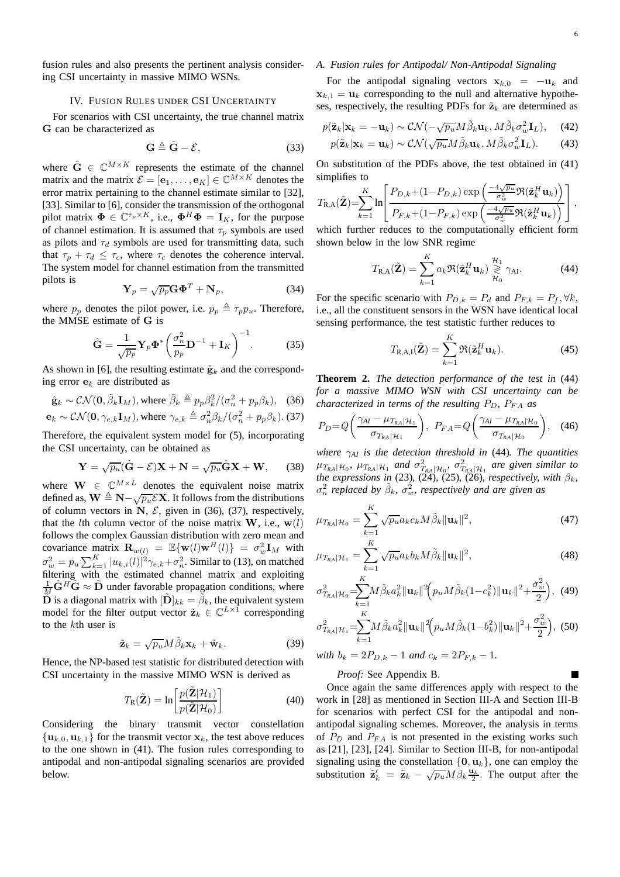fusion rules and also presents the pertinent analysis considering CSI uncertainty in massive MIMO WSNs.

#### IV. FUSION RULES UNDER CSI UNCERTAINTY

For scenarios with CSI uncertainty, the true channel matrix G can be characterized as

$$
\mathbf{G} \triangleq \hat{\mathbf{G}} - \mathcal{E},\tag{33}
$$

where  $\hat{G} \in \mathbb{C}^{M \times K}$  represents the estimate of the channel matrix and the matrix  $\mathcal{E} = [\mathbf{e}_1, \dots, \mathbf{e}_K] \in \mathbb{C}^{M \times K}$  denotes the error matrix pertaining to the channel estimate similar to [32], [33]. Similar to [6], consider the transmission of the orthogonal pilot matrix  $\mathbf{\Phi} \in \mathbb{C}^{\tau_p \times K}$ , i.e.,  $\mathbf{\Phi}^H \mathbf{\Phi} = \mathbf{I}_K$ , for the purpose of channel estimation. It is assumed that  $\tau_p$  symbols are used as pilots and  $\tau_d$  symbols are used for transmitting data, such that  $\tau_p + \tau_d \leq \tau_c$ , where  $\tau_c$  denotes the coherence interval. The system model for channel estimation from the transmitted pilots is

$$
\mathbf{Y}_p = \sqrt{p_p} \mathbf{G} \mathbf{\Phi}^T + \mathbf{N}_p,\tag{34}
$$

where  $p_p$  denotes the pilot power, i.e.  $p_p \triangleq \tau_p p_u$ . Therefore, the MMSE estimate of G is

$$
\hat{\mathbf{G}} = \frac{1}{\sqrt{p_p}} \mathbf{Y}_p \mathbf{\Phi}^* \left( \frac{\sigma_n^2}{p_p} \mathbf{D}^{-1} + \mathbf{I}_K \right)^{-1} . \tag{35}
$$

As shown in [6], the resulting estimate  $\hat{\mathbf{g}}_k$  and the corresponding error  $e_k$  are distributed as

$$
\hat{\mathbf{g}}_k \sim \mathcal{CN}(\mathbf{0}, \tilde{\beta}_k \mathbf{I}_M), \text{ where } \tilde{\beta}_k \triangleq p_p \beta_k^2 / (\sigma_n^2 + p_p \beta_k), \quad (36)
$$

$$
\mathbf{e}_k \sim \mathcal{CN}(\mathbf{0}, \gamma_{e,k} \mathbf{I}_M)
$$
, where  $\gamma_{e,k} \triangleq \sigma_n^2 \beta_k / (\sigma_n^2 + p_p \beta_k)$ . (37)

Therefore, the equivalent system model for (5), incorporating the CSI uncertainty, can be obtained as

$$
\mathbf{Y} = \sqrt{p_u}(\hat{\mathbf{G}} - \mathcal{E})\mathbf{X} + \mathbf{N} = \sqrt{p_u}\hat{\mathbf{G}}\mathbf{X} + \mathbf{W},\qquad(38)
$$

where  $\mathbf{W} \in \mathbb{C}^{M \times L}$  denotes the equivalent noise matrix defined as,  $\mathbf{W} \triangleq \mathbf{N} - \sqrt{p_u} \mathcal{E} \mathbf{X}$ . It follows from the distributions of column vectors in N,  $\mathcal{E}$ , given in (36), (37), respectively, that the *l*th column vector of the noise matrix **W**, i.e.,  $w(l)$ follows the complex Gaussian distribution with zero mean and covariance matrix  $\mathbf{R}_{w(l)} = \mathbb{E}\{\mathbf{w}(l)\mathbf{w}^H(l)\} = \sigma_w^2 \mathbf{I}_M$  with  $\sigma_w^2 = p_u \sum_{k=1}^K |u_{k,i}(l)|^2 \gamma_{e,k} + \sigma_n^2$ . Similar to (13), on matched filtering with the estimated channel matrix and exploiting  $\frac{1}{M}\hat{\mathbf{G}}^H\hat{\mathbf{G}} \approx \tilde{\mathbf{D}}$  under favorable propagation conditions, where  $\tilde{\mathbf{D}}$  is a diagonal matrix with  $[\tilde{\mathbf{D}}]_{kk} = \tilde{\beta}_k,$  the equivalent system model for the filter output vector  $\tilde{\mathbf{z}}_k \in \mathbb{C}^{L \times 1}$  corresponding to the kth user is

$$
\tilde{\mathbf{z}}_k = \sqrt{p_u} M \tilde{\beta}_k \mathbf{x}_k + \tilde{\mathbf{w}}_k. \tag{39}
$$

Hence, the NP-based test statistic for distributed detection with CSI uncertainty in the massive MIMO WSN is derived as

$$
T_{\mathbf{R}}(\tilde{\mathbf{Z}}) = \ln \left[ \frac{p(\tilde{\mathbf{Z}}|\mathcal{H}_1)}{p(\tilde{\mathbf{Z}}|\mathcal{H}_0)} \right]
$$
(40)

Considering the binary transmit vector constellation  $\{u_{k,0}, u_{k,1}\}\$  for the transmit vector  $x_k$ , the test above reduces to the one shown in (41). The fusion rules corresponding to antipodal and non-antipodal signaling scenarios are provided below.

# *A. Fusion rules for Antipodal/ Non-Antipodal Signaling*

For the antipodal signaling vectors  $x_{k,0} = -u_k$  and  $x_{k,1} = u_k$  corresponding to the null and alternative hypotheses, respectively, the resulting PDFs for  $\tilde{\mathbf{z}}_k$  are determined as

$$
p(\tilde{\mathbf{z}}_k|\mathbf{x}_k = -\mathbf{u}_k) \sim \mathcal{CN}(-\sqrt{p_u}M\tilde{\beta}_k\mathbf{u}_k, M\tilde{\beta}_k\sigma_w^2\mathbf{I}_L), \quad (42)
$$

$$
p(\tilde{\mathbf{z}}_k|\mathbf{x}_k = \mathbf{u}_k) \sim \mathcal{CN}(\sqrt{p_u}M\tilde{\beta}_k\mathbf{u}_k, M\tilde{\beta}_k\sigma_w^2\mathbf{I}_L). \quad (43)
$$

On substitution of the PDFs above, the test obtained in (41) simplifies to

$$
T_{\text{R,A}}(\tilde{\mathbf{Z}}) = \sum_{k=1}^{K} \ln \left[ \frac{P_{D,k} + (1 - P_{D,k}) \exp \left( \frac{-4\sqrt{p_u}}{\sigma_w^2} \Re(\tilde{\mathbf{z}}_k^H \mathbf{u}_k) \right)}{P_{F,k} + (1 - P_{F,k}) \exp \left( \frac{-4\sqrt{p_u}}{\sigma_w^2} \Re(\tilde{\mathbf{z}}_k^H \mathbf{u}_k) \right)} \right],
$$

which further reduces to the computationally efficient form shown below in the low SNR regime

$$
T_{\mathbf{R},\mathbf{A}}(\tilde{\mathbf{Z}}) = \sum_{k=1}^{K} a_k \Re(\tilde{\mathbf{z}}_k^H \mathbf{u}_k) \underset{\mathcal{H}_0}{\geq} \gamma_{\mathbf{A}\mathbf{I}}.
$$
 (44)

For the specific scenario with  $P_{D,k} = P_d$  and  $P_{F,k} = P_f, \forall k$ , i.e., all the constituent sensors in the WSN have identical local sensing performance, the test statistic further reduces to

$$
T_{\mathbf{R},\mathbf{A},\mathbf{I}}(\tilde{\mathbf{Z}}) = \sum_{k=1}^{K} \Re(\tilde{\mathbf{z}}_k^H \mathbf{u}_k).
$$
 (45)

**Theorem 2.** *The detection performance of the test in* (44) *for a massive MIMO WSN with CSI uncertainty can be characterized in terms of the resulting*  $P_D$ ,  $P_{FA}$  *as* 

$$
P_D = Q\left(\frac{\gamma_{AI} - \mu_{T_{RA}|\mathcal{H}_1}}{\sigma_{T_{RA}|\mathcal{H}_1}}\right), \ P_{FA} = Q\left(\frac{\gamma_{AI} - \mu_{T_{RA}|\mathcal{H}_0}}{\sigma_{T_{RA}|\mathcal{H}_0}}\right), \quad (46)
$$

*where* γ*AI is the detection threshold in* (44)*. The quantities*  $\mu_{T_{RA}|\mathcal{H}_0}$ ,  $\mu_{T_{RA}|\mathcal{H}_1}$  and  $\sigma_{T_{RA}|\mathcal{H}_0}^2$ ,  $\sigma_{T_{RA}|\mathcal{H}_1}^2$  are given similar to *the expressions in* (23), (24), (25), (26), *respectively, with*  $\beta_k$ ,  $\sigma_n^2$  replaced by  $\tilde{\beta}_k$ ,  $\sigma_w^2$ , respectively and are given as

$$
\mu_{T_{RA}|\mathcal{H}_0} = \sum_{k=1}^K \sqrt{p_u} a_k c_k M \tilde{\beta}_k ||\mathbf{u}_k||^2, \tag{47}
$$

$$
\mu_{T_{RA}|\mathcal{H}_1} = \sum_{k=1}^{K} \sqrt{p_u} a_k b_k M \tilde{\beta}_k ||\mathbf{u}_k||^2, \qquad (48)
$$

$$
\sigma_{T_{kA}|\mathcal{H}_0}^2 = \sum_{k=1}^K M \tilde{\beta}_k a_k^2 \|\mathbf{u}_k\|^2 \Big( p_u M \tilde{\beta}_k (1 - c_k^2) \|\mathbf{u}_k\|^2 + \frac{\sigma_w^2}{2} \Big), \tag{49}
$$

$$
\sigma_{T_{RA}|\mathcal{H}_1}^2 = \sum_{k=1}^K M \tilde{\beta}_k a_k^2 \|\mathbf{u}_k\|^2 \Big( p_u M \tilde{\beta}_k (1 - b_k^2) \|\mathbf{u}_k\|^2 + \frac{\sigma_w^2}{2} \Big), \tag{50}
$$

*with*  $b_k = 2P_{D,k} - 1$  *and*  $c_k = 2P_{F,k} - 1$ *.* 

*Proof:* See Appendix B.

Once again the same differences apply with respect to the work in [28] as mentioned in Section III-A and Section III-B for scenarios with perfect CSI for the antipodal and nonantipodal signaling schemes. Moreover, the analysis in terms of  $P_D$  and  $P_{FA}$  is not presented in the existing works such as [21], [23], [24]. Similar to Section III-B, for non-antipodal signaling using the constellation  $\{0, u_k\}$ , one can employ the substitution  $\tilde{\mathbf{z}}'_k = \tilde{\mathbf{z}}_k - \sqrt{p_u} M \beta_k \frac{\mathbf{u}_k}{2}$ . The output after the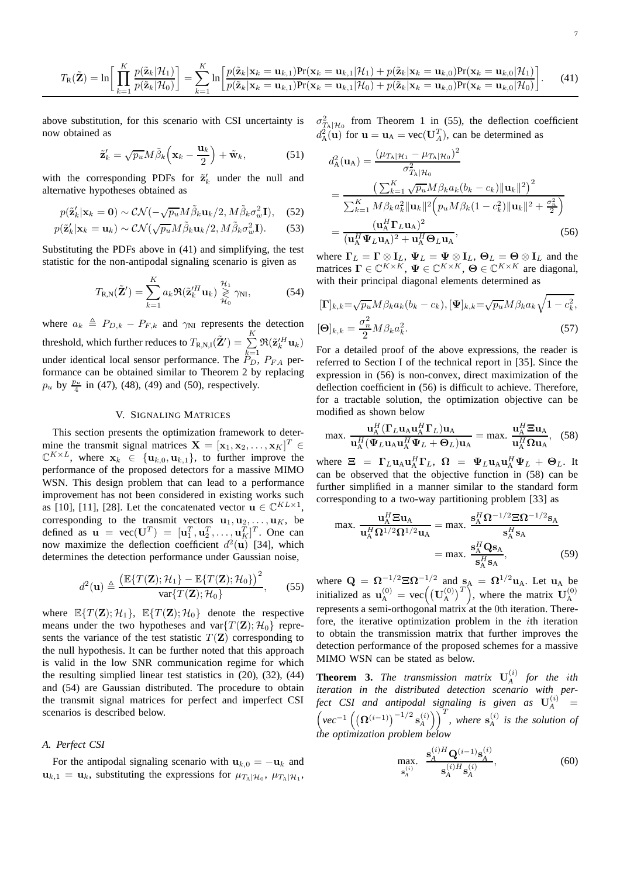$$
T_{\mathbf{R}}(\tilde{\mathbf{Z}})=\ln\bigg[\prod_{k=1}^{K}\frac{p(\tilde{\mathbf{z}}_{k}|\mathcal{H}_{1})}{p(\tilde{\mathbf{z}}_{k}|\mathcal{H}_{0})}\bigg]=\sum_{k=1}^{K}\ln\bigg[\frac{p(\tilde{\mathbf{z}}_{k}|\mathbf{x}_{k}=\mathbf{u}_{k,1})\Pr(\mathbf{x}_{k}=\mathbf{u}_{k,1}|\mathcal{H}_{1})+p(\tilde{\mathbf{z}}_{k}|\mathbf{x}_{k}=\mathbf{u}_{k,0})\Pr(\mathbf{x}_{k}=\mathbf{u}_{k,0}|\mathcal{H}_{1})}{p(\tilde{\mathbf{z}}_{k}|\mathbf{x}_{k}=\mathbf{u}_{k,1})\Pr(\mathbf{x}_{k}=\mathbf{u}_{k,1}|\mathcal{H}_{0})+p(\tilde{\mathbf{z}}_{k}|\mathbf{x}_{k}=\mathbf{u}_{k,0})\Pr(\mathbf{x}_{k}=\mathbf{u}_{k,0}|\mathcal{H}_{0})}\bigg].
$$
 (41)

above substitution, for this scenario with CSI uncertainty is now obtained as

$$
\tilde{\mathbf{z}}'_{k} = \sqrt{p_{u}} M \tilde{\beta}_{k} \left( \mathbf{x}_{k} - \frac{\mathbf{u}_{k}}{2} \right) + \tilde{\mathbf{w}}_{k}, \tag{51}
$$

with the corresponding PDFs for  $\tilde{\mathbf{z}}'_{k}$  under the null and alternative hypotheses obtained as

$$
p(\tilde{\mathbf{z}}_k'|\mathbf{x}_k=\mathbf{0}) \sim \mathcal{CN}(-\sqrt{p_u}M\tilde{\beta}_k \mathbf{u}_k/2, M\tilde{\beta}_k \sigma_w^2 \mathbf{I}), \quad (52)
$$

$$
p(\tilde{\mathbf{z}}_k'|\mathbf{x}_k=\mathbf{u}_k) \sim \mathcal{CN}(\sqrt{p_u}M\tilde{\beta}_k\mathbf{u}_k/2, M\tilde{\beta}_k\sigma_w^2\mathbf{I}).
$$
 (53)

Substituting the PDFs above in (41) and simplifying, the test statistic for the non-antipodal signaling scenario is given as

$$
T_{\mathbf{R},\mathbf{N}}(\tilde{\mathbf{Z}}') = \sum_{k=1}^{K} a_k \Re(\tilde{\mathbf{z}}_k'^H \mathbf{u}_k) \underset{\mathcal{H}_0}{\geq \gamma_{\mathbf{N}}}, \qquad (54)
$$

where  $a_k \triangleq P_{D,k} - P_{F,k}$  and  $\gamma_{\text{NI}}$  represents the detection threshold, which further reduces to  $T_{\rm R,N,I}(\tilde{\bf Z}')=\,\sum^K \mathfrak{R}(\tilde{\bf z}'^H_{k}{\bf u}_{k})$ under identical local sensor performance. The  $\mathbb{P}_{D}^{k=1}$ ,  $\mathbb{P}_{FA}$  performance can be obtained similar to Theorem 2 by replacing  $p_u$  by  $\frac{p_u}{4}$  in (47), (48), (49) and (50), respectively.

## V. SIGNALING MATRICES

This section presents the optimization framework to determine the transmit signal matrices  $\mathbf{X} = [\mathbf{x}_1, \mathbf{x}_2, \dots, \mathbf{x}_K]^T \in$  $\mathbb{C}^{K \times L}$ , where  $\mathbf{x}_k \in \{\mathbf{u}_{k,0}, \mathbf{u}_{k,1}\}$ , to further improve the performance of the proposed detectors for a massive MIMO WSN. This design problem that can lead to a performance improvement has not been considered in existing works such as [10], [11], [28]. Let the concatenated vector  $\mathbf{u} \in \mathbb{C}^{KL \times 1}$ , corresponding to the transmit vectors  $\mathbf{u}_1, \mathbf{u}_2, \dots, \mathbf{u}_K$ , be defined as  $\mathbf{u} = \text{vec}(\mathbf{U}^T) = [\mathbf{u}_1^T, \mathbf{u}_2^T, \dots, \mathbf{u}_K^T]^T$ . One can now maximize the deflection coefficient  $d^2(\mathbf{u})$  [34], which determines the detection performance under Gaussian noise,

$$
d^{2}(\mathbf{u}) \triangleq \frac{\left(\mathbb{E}\{T(\mathbf{Z});\mathcal{H}_{1}\}-\mathbb{E}\{T(\mathbf{Z});\mathcal{H}_{0}\}\right)^{2}}{\text{var}\{T(\mathbf{Z});\mathcal{H}_{0}\}},\qquad(55)
$$

where  $\mathbb{E}\{T(\mathbf{Z}); \mathcal{H}_1\}$ ,  $\mathbb{E}\{T(\mathbf{Z}); \mathcal{H}_0\}$  denote the respective means under the two hypotheses and var $\{T(\mathbf{Z}); \mathcal{H}_0\}$  represents the variance of the test statistic  $T(\mathbf{Z})$  corresponding to the null hypothesis. It can be further noted that this approach is valid in the low SNR communication regime for which the resulting simplied linear test statistics in (20), (32), (44) and (54) are Gaussian distributed. The procedure to obtain the transmit signal matrices for perfect and imperfect CSI scenarios is described below.

## *A. Perfect CSI*

For the antipodal signaling scenario with  $u_{k,0} = -u_k$  and  $\mathbf{u}_{k,1} = \mathbf{u}_k$ , substituting the expressions for  $\mu_{T_\text{A}|\mathcal{H}_0}$ ,  $\mu_{T_\text{A}|\mathcal{H}_1}$ ,  $\sigma_{T_A|\mathcal{H}_0}^2$  from Theorem 1 in (55), the deflection coefficient  $d_{A}^{2}(\mathbf{u})$  for  $\mathbf{u} = \mathbf{u}_{A} = \text{vec}(\mathbf{U}_{A}^{T})$ , can be determined as

$$
d_{\mathbf{A}}^{2}(\mathbf{u}_{\mathbf{A}}) = \frac{(\mu_{T_{\mathbf{A}}}|\mathcal{H}_{1} - \mu_{T_{\mathbf{A}}}|\mathcal{H}_{0})^{2}}{\sigma_{T_{\mathbf{A}}}^{2}} \n= \frac{\left(\sum_{k=1}^{K} \sqrt{p_{u}} M \beta_{k} a_{k} (b_{k} - c_{k}) ||\mathbf{u}_{k}||^{2}\right)^{2}}{\sum_{k=1}^{K} M \beta_{k} a_{k}^{2} ||\mathbf{u}_{k}||^{2} \left(p_{u} M \beta_{k} (1 - c_{k}^{2}) ||\mathbf{u}_{k}||^{2} + \frac{\sigma_{n}^{2}}{2}\right)} \n= \frac{(\mathbf{u}_{\mathbf{A}}^{H} \mathbf{\Gamma}_{L} \mathbf{u}_{\mathbf{A}})^{2}}{(\mathbf{u}_{\mathbf{A}}^{H} \mathbf{\Psi}_{L} \mathbf{u}_{\mathbf{A}})^{2} + \mathbf{u}_{\mathbf{A}}^{H} \mathbf{\Theta}_{L} \mathbf{u}_{\mathbf{A}}},
$$
\n(56)

where  $\Gamma_L = \Gamma \otimes \mathbf{I}_L$ ,  $\Psi_L = \Psi \otimes \mathbf{I}_L$ ,  $\Theta_L = \Theta \otimes \mathbf{I}_L$  and the matrices  $\mathbf{\Gamma} \in \mathbb{C}^{K \times K}$ ,  $\Psi \in \mathbb{C}^{K \times K}$ ,  $\Theta \in \mathbb{C}^{K \times K}$  are diagonal, with their principal diagonal elements determined as

$$
\begin{aligned} [\mathbf{\Gamma}]_{k,k} = & \sqrt{p_u} M \beta_k a_k (b_k - c_k), [\mathbf{\Psi}]_{k,k} = & \sqrt{p_u} M \beta_k a_k \sqrt{1 - c_k^2}, \\ [\mathbf{\Theta}]_{k,k} = & \frac{\sigma_n^2}{2} M \beta_k a_k^2. \end{aligned} \tag{57}
$$

For a detailed proof of the above expressions, the reader is referred to Section I of the technical report in [35]. Since the expression in (56) is non-convex, direct maximization of the deflection coefficient in (56) is difficult to achieve. Therefore, for a tractable solution, the optimization objective can be modified as shown below

$$
\max. \frac{\mathbf{u}_{\mathbf{A}}^H (\mathbf{\Gamma}_L \mathbf{u}_{\mathbf{A}} \mathbf{u}_{\mathbf{A}}^H \mathbf{\Gamma}_L) \mathbf{u}_{\mathbf{A}}}{\mathbf{u}_{\mathbf{A}}^H (\mathbf{\Psi}_L \mathbf{u}_{\mathbf{A}} \mathbf{u}_{\mathbf{A}}^H \mathbf{\Psi}_L + \mathbf{\Theta}_L) \mathbf{u}_{\mathbf{A}}} = \max. \frac{\mathbf{u}_{\mathbf{A}}^H \mathbf{\Xi} \mathbf{u}_{\mathbf{A}}}{\mathbf{u}_{\mathbf{A}}^H \mathbf{\Omega} \mathbf{u}_{\mathbf{A}}},
$$
(58)

where  $\boldsymbol{\Xi} = \boldsymbol{\Gamma}_L \mathbf{u}_A \mathbf{u}_A^H \boldsymbol{\Gamma}_L$ ,  $\boldsymbol{\Omega} = \boldsymbol{\Psi}_L \mathbf{u}_A \mathbf{u}_A^H \boldsymbol{\Psi}_L + \boldsymbol{\Theta}_L$ . It can be observed that the objective function in (58) can be further simplified in a manner similar to the standard form corresponding to a two-way partitioning problem [33] as

$$
\max. \frac{\mathbf{u}_{\mathbf{A}}^H \mathbf{\Xi} \mathbf{u}_{\mathbf{A}}}{\mathbf{u}_{\mathbf{A}}^H \mathbf{\Omega}^{1/2} \mathbf{\Omega}^{1/2} \mathbf{u}_{\mathbf{A}}} = \max. \frac{\mathbf{s}_{\mathbf{A}}^H \mathbf{\Omega}^{-1/2} \mathbf{\Xi} \mathbf{\Omega}^{-1/2} \mathbf{s}_{\mathbf{A}}}{\mathbf{s}_{\mathbf{A}}^H \mathbf{s}_{\mathbf{A}}} = \max. \frac{\mathbf{s}_{\mathbf{A}}^H \mathbf{\mathbf{Q}} \mathbf{s}_{\mathbf{A}}}{\mathbf{s}_{\mathbf{A}}^H \mathbf{s}_{\mathbf{A}}},
$$
(59)

where  $\mathbf{Q} = \mathbf{\Omega}^{-1/2} \mathbf{\Xi} \mathbf{\Omega}^{-1/2}$  and  $\mathbf{s}_{A} = \mathbf{\Omega}^{1/2} \mathbf{u}_{A}$ . Let  $\mathbf{u}_{A}$  be initialized as  $\mathbf{u}_{\mathrm{A}}^{(0)} = \mathrm{vec}\left(\left(\mathbf{U}_{\mathrm{A}}^{(0)}\right)^{T}\right)$ , where the matrix  $\mathbf{U}_{\mathrm{A}}^{(0)}$ represents a semi-orthogonal matrix at the 0th iteration. Therefore, the iterative optimization problem in the  $i$ th iteration to obtain the transmission matrix that further improves the detection performance of the proposed schemes for a massive MIMO WSN can be stated as below.

**Theorem 3.** The transmission matrix  $U_A^{(i)}$  for the ith *iteration in the distributed detection scenario with perfect* CSI and antipodal signaling is given as  $U_A^{(i)}$  =  $\left(\gamma e^{-1}\left(\left(\mathbf{\Omega}^{(i-1)}\right)^{-1/2}\mathbf{s}_{A}^{(i)}\right)\right)^{T}$ , where  $\mathbf{s}_{A}^{(i)}$  is the solution of *the optimization problem below*

$$
\max_{\mathbf{s}_{A}^{(i)}} \ \ \frac{\mathbf{s}_{A}^{(i)H} \mathbf{Q}^{(i-1)} \mathbf{s}_{A}^{(i)}}{\mathbf{s}_{A}^{(i)H} \mathbf{s}_{A}^{(i)}},\tag{60}
$$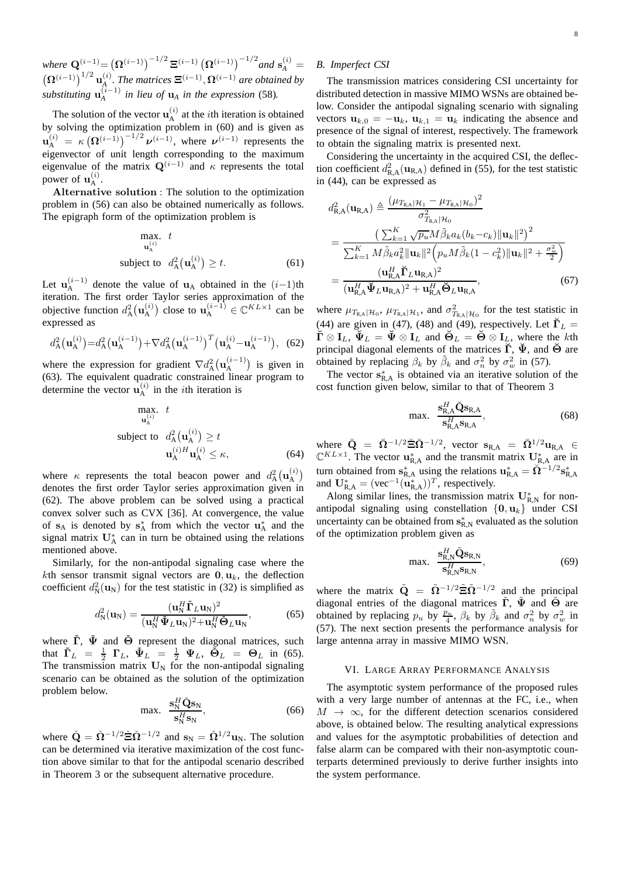*where*  $\mathbf{Q}^{(i-1)} = (\mathbf{\Omega}^{(i-1)})^{-1/2} \, \mathbf{\Xi}^{(i-1)} (\mathbf{\Omega}^{(i-1)})^{-1/2}$  and  $\mathbf{s}_A^{(i)} =$  $\left(\mathbf{\Omega}^{(i-1)}\right)^{1/2} \mathbf{u}_{A}^{(i)}$ . The matrices  $\mathbf{\Xi}^{(i-1)}$ ,  $\mathbf{\Omega}^{(i-1)}$  are obtained by *substituting*  $\mathbf{u}_{A}^{(i-1)}$  *in lieu of*  $\mathbf{u}_{A}$  *in the expression* (58).

The solution of the vector  $\mathbf{u}_{\mathrm{A}}^{(i)}$  at the *i*th iteration is obtained by solving the optimization problem in (60) and is given as  $\mathbf{u}_{\mathrm{A}}^{(i)} = \kappa \left( \mathbf{\Omega}^{(i-1)} \right)^{-1/2} \boldsymbol{\nu}^{(i-1)}$ , where  $\boldsymbol{\nu}^{(i-1)}$  represents the eigenvector of unit length corresponding to the maximum eigenvalue of the matrix  $\mathbf{Q}^{(i-1)}$  and  $\kappa$  represents the total power of  $\mathbf{u}_{\mathrm{A}}^{(i)}$ .

Alternative solution : The solution to the optimization problem in (56) can also be obtained numerically as follows. The epigraph form of the optimization problem is

$$
\begin{array}{ll}\n\text{max.} & t \\
\mathbf{u}_{\mathbf{A}}^{(i)} & \text{subject to} \quad d_{\mathbf{A}}^2(\mathbf{u}_{\mathbf{A}}^{(i)}) \ge t.\n\end{array} \tag{61}
$$

Let  $\mathbf{u}_{\mathrm{A}}^{(i-1)}$  denote the value of  $\mathbf{u}_{\mathrm{A}}$  obtained in the  $(i-1)$ th iteration. The first order Taylor series approximation of the objective function  $d_A^2(\mathbf{u}_A^{(i)})$  close to  $\mathbf{u}_A^{(i-1)} \in \mathbb{C}^{KL \times 1}$  can be expressed as

$$
d_{\mathcal{A}}^{2}\left(\mathbf{u}_{\mathcal{A}}^{(i)}\right) = d_{\mathcal{A}}^{2}\left(\mathbf{u}_{\mathcal{A}}^{(i-1)}\right) + \nabla d_{\mathcal{A}}^{2}\left(\mathbf{u}_{\mathcal{A}}^{(i-1)}\right)^{T}\left(\mathbf{u}_{\mathcal{A}}^{(i)} - \mathbf{u}_{\mathcal{A}}^{(i-1)}\right), (62)
$$

where the expression for gradient  $\nabla d_A^2(\mathbf{u}_A^{(i-1)})$  is given in (63). The equivalent quadratic constrained linear program to determine the vector  $\mathbf{u}_{\mathrm{A}}^{(i)}$  in the *i*th iteration is

max. 
$$
t
$$
  
\n <sub>$\mathbf{u}_{\mathbf{A}}^{(i)}$</sub>   $t$   
\nsubject to  $d_{\mathbf{A}}^2(\mathbf{u}_{\mathbf{A}}^{(i)}) \ge t$   
\n $\mathbf{u}_{\mathbf{A}}^{(i)H}\mathbf{u}_{\mathbf{A}}^{(i)} \le \kappa,$  (64)

where  $\kappa$  represents the total beacon power and  $d_A^2(\mathbf{u}_A^{(i)})$ denotes the first order Taylor series approximation given in (62). The above problem can be solved using a practical convex solver such as CVX [36]. At convergence, the value of  $s_A$  is denoted by  $s_A^*$  from which the vector  $u_A^*$  and the signal matrix  $U_A^*$  can in turn be obtained using the relations mentioned above.

Similarly, for the non-antipodal signaling case where the kth sensor transmit signal vectors are  $0, u_k$ , the deflection coefficient  $d_N^2(\mathbf{u}_N)$  for the test statistic in (32) is simplified as

$$
d_N^2(\mathbf{u}_N) = \frac{(\mathbf{u}_N^H \check{\mathbf{\Gamma}}_L \mathbf{u}_N)^2}{(\mathbf{u}_N^H \check{\mathbf{\Psi}}_L \mathbf{u}_N)^2 + \mathbf{u}_N^H \check{\mathbf{\Theta}}_L \mathbf{u}_N},\tag{65}
$$

where  $\check{\Gamma}$ ,  $\check{\Psi}$  and  $\check{\Theta}$  represent the diagonal matrices, such that  $\check{\Gamma}_L = \frac{1}{2} \Gamma_L$ ,  $\check{\Psi}_L = \frac{1}{2} \Psi_L$ ,  $\check{\Theta}_L = \Theta_L$  in (65). The transmission matrix  $U_N$  for the non-antipodal signaling scenario can be obtained as the solution of the optimization problem below.

$$
\max. \quad \frac{\mathbf{s}_N^H \check{\mathbf{Q}} \mathbf{s}_N}{\mathbf{s}_N^H \mathbf{s}_N},\tag{66}
$$

where  $\check{\mathbf{Q}} = \check{\mathbf{\Omega}}^{-1/2} \check{\mathbf{\Xi}} \check{\mathbf{\Omega}}^{-1/2}$  and  $\mathbf{s}_{N} = \check{\mathbf{\Omega}}^{1/2} \mathbf{u}_{N}$ . The solution can be determined via iterative maximization of the cost function above similar to that for the antipodal scenario described in Theorem 3 or the subsequent alternative procedure.

# *B. Imperfect CSI*

The transmission matrices considering CSI uncertainty for distributed detection in massive MIMO WSNs are obtained below. Consider the antipodal signaling scenario with signaling vectors  $\mathbf{u}_{k,0} = -\mathbf{u}_k$ ,  $\mathbf{u}_{k,1} = \mathbf{u}_k$  indicating the absence and presence of the signal of interest, respectively. The framework to obtain the signaling matrix is presented next.

Considering the uncertainty in the acquired CSI, the deflection coefficient  $d_{\text{R},A}^2(\mathbf{u}_{\text{R},A})$  defined in (55), for the test statistic in (44), can be expressed as

$$
d_{\text{R,A}}^2(\mathbf{u}_{\text{R,A}}) \triangleq \frac{(\mu_{T_{\text{R,A}}|\mathcal{H}_1} - \mu_{T_{\text{R,A}}|\mathcal{H}_0})^2}{\sigma_{T_{\text{R,A}}|\mathcal{H}_0}^2}
$$
  
= 
$$
\frac{\left(\sum_{k=1}^K \sqrt{p_u} M \tilde{\beta}_k a_k (b_k - c_k) ||\mathbf{u}_k||^2\right)^2}{\sum_{k=1}^K M \tilde{\beta}_k a_k^2 ||\mathbf{u}_k||^2 \left(p_u M \tilde{\beta}_k (1 - c_k^2) ||\mathbf{u}_k||^2 + \frac{\sigma_w^2}{2}\right)}
$$
  
= 
$$
\frac{(\mathbf{u}_{\text{R,A}}^H \mathbf{\check{\Gamma}}_L \mathbf{u}_{\text{R,A}})^2}{(\mathbf{u}_{\text{R,A}}^H \mathbf{\check{\Psi}}_L \mathbf{u}_{\text{R,A}})^2 + \mathbf{u}_{\text{R,A}}^H \mathbf{\check{\Theta}}_L \mathbf{u}_{\text{R,A}}},
$$
(67)

where  $\mu_{T_{\mathbb{R},A}|\mathcal{H}_0}$ ,  $\mu_{T_{\mathbb{R},A}|\mathcal{H}_1}$ , and  $\sigma_{T_{\mathbb{R},A}|\mathcal{H}_0}^2$  for the test statistic in (44) are given in (47), (48) and (49), respectively. Let  $\breve{\Gamma}_L$  =  $\check{\Gamma} \otimes I_L$ ,  $\check{\Psi}_L = \check{\Psi} \otimes I_L$  and  $\check{\Theta}_L = \check{\Theta} \otimes I_L$ , where the kth principal diagonal elements of the matrices  $\check{\Gamma}$ ,  $\check{\Psi}$ , and  $\check{\Theta}$  are obtained by replacing  $\beta_k$  by  $\tilde{\beta}_k$  and  $\sigma_n^2$  by  $\sigma_w^2$  in (57).

The vector  $s_{R,A}^*$  is obtained via an iterative solution of the cost function given below, similar to that of Theorem 3

$$
\max. \quad \frac{\mathbf{s}_{\mathsf{R},\mathsf{A}}^H \breve{\mathbf{Q}} \mathbf{s}_{\mathsf{R},\mathsf{A}}}{\mathbf{s}_{\mathsf{R},\mathsf{A}}^H \mathbf{s}_{\mathsf{R},\mathsf{A}}},\tag{68}
$$

where  $\check{\mathbf{Q}} = \check{\mathbf{\Omega}}^{-1/2} \check{\mathbf{\Xi}} \check{\mathbf{\Omega}}^{-1/2}$ , vector  $\mathbf{s}_{R,A} = \check{\mathbf{\Omega}}^{1/2} \mathbf{u}_{R,A} \in \mathbb{C}^{KL \times 1}$ . The vector  $\mathbf{u}_{R,A}^*$  and the transmit matrix  $\mathbf{U}_{R,A}^*$  are in turn obtained from  $\mathbf{s}_{\text{R,A}}^*$  using the relations  $\mathbf{u}_{\text{R,A}}^* = \breve{\Omega}^{-1/2} \mathbf{s}_{\text{R,A}}^*$ and  $\mathbf{U}_{\text{R,A}}^* = (\text{vec}^{-1}(\mathbf{u}_{\text{R,A}}^*))^T$ , respectively.

Along similar lines, the transmission matrix  $U_{R,N}^*$  for nonantipodal signaling using constellation  $\{0, u_k\}$  under CSI uncertainty can be obtained from  $s_{R,N}^*$  evaluated as the solution of the optimization problem given as

$$
\max. \quad \frac{\mathbf{s}_{\mathsf{R},\mathsf{N}}^H \tilde{\mathbf{Q}} \mathbf{s}_{\mathsf{R},\mathsf{N}}}{\mathbf{s}_{\mathsf{R},\mathsf{N}}^H \mathbf{s}_{\mathsf{R},\mathsf{N}}},\tag{69}
$$

where the matrix  $\tilde{Q} = \tilde{\Omega}^{-1/2} \tilde{\Xi} \tilde{\Omega}^{-1/2}$  and the principal diagonal entries of the diagonal matrices  $\tilde{\Gamma}$ ,  $\tilde{\Psi}$  and  $\tilde{\Theta}$  are obtained by replacing  $p_u$  by  $\frac{p_u}{4}$ ,  $\beta_k$  by  $\tilde{\beta}_k$  and  $\sigma_n^2$  by  $\sigma_w^2$  in (57). The next section presents the performance analysis for large antenna array in massive MIMO WSN.

## VI. LARGE ARRAY PERFORMANCE ANALYSIS

The asymptotic system performance of the proposed rules with a very large number of antennas at the FC, i.e., when  $M \rightarrow \infty$ , for the different detection scenarios considered above, is obtained below. The resulting analytical expressions and values for the asymptotic probabilities of detection and false alarm can be compared with their non-asymptotic counterparts determined previously to derive further insights into the system performance.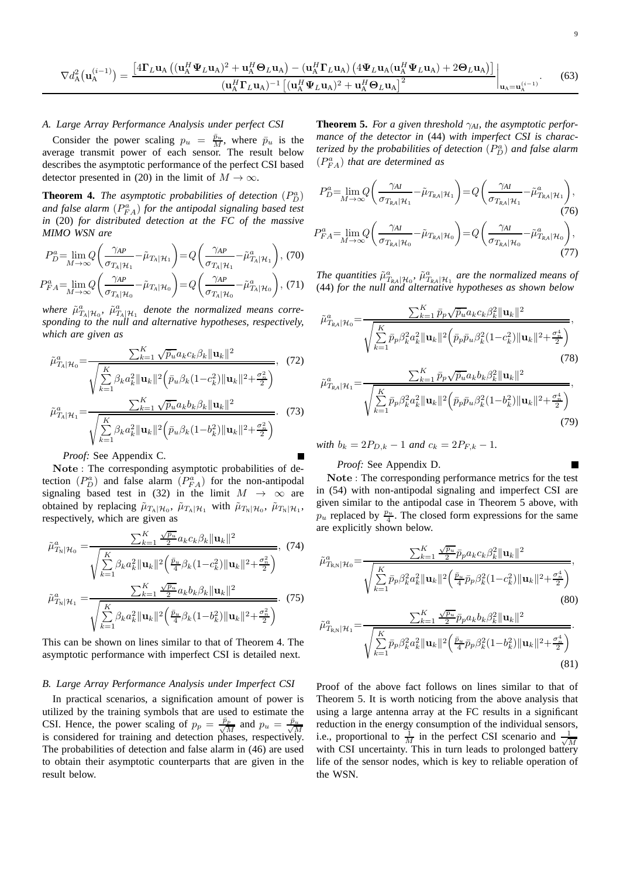$$
\nabla d_{\mathcal{A}}^{2}(\mathbf{u}_{\mathcal{A}}^{(i-1)}) = \frac{\left[4\Gamma_{L}\mathbf{u}_{\mathcal{A}}\left((\mathbf{u}_{\mathcal{A}}^{H}\Psi_{L}\mathbf{u}_{\mathcal{A}})^{2} + \mathbf{u}_{\mathcal{A}}^{H}\mathbf{\Theta}_{L}\mathbf{u}_{\mathcal{A}}\right) - (\mathbf{u}_{\mathcal{A}}^{H}\Gamma_{L}\mathbf{u}_{\mathcal{A}})\left(4\Psi_{L}\mathbf{u}_{\mathcal{A}}(\mathbf{u}_{\mathcal{A}}^{H}\Psi_{L}\mathbf{u}_{\mathcal{A}}) + 2\mathbf{\Theta}_{L}\mathbf{u}_{\mathcal{A}}\right)\right]}{(\mathbf{u}_{\mathcal{A}}^{H}\Gamma_{L}\mathbf{u}_{\mathcal{A}})^{-1}\left[(\mathbf{u}_{\mathcal{A}}^{H}\Psi_{L}\mathbf{u}_{\mathcal{A}})^{2} + \mathbf{u}_{\mathcal{A}}^{H}\mathbf{\Theta}_{L}\mathbf{u}_{\mathcal{A}}\right]^{2}}\bigg|_{\mathbf{u}_{\mathcal{A}}=\mathbf{u}_{\mathcal{A}}^{(i-1)}}.
$$
(63)

## *A. Large Array Performance Analysis under perfect CSI*

Consider the power scaling  $p_u = \frac{\bar{p}_u}{M}$ , where  $\bar{p}_u$  is the average transmit power of each sensor. The result below describes the asymptotic performance of the perfect CSI based detector presented in (20) in the limit of  $M \to \infty$ .

**Theorem 4.** The asymptotic probabilities of detection  $(P_D^a)$ and false alarm  $(P_{FA}^a)$  for the antipodal signaling based test *in* (20) *for distributed detection at the FC of the massive MIMO WSN are*

$$
P_D^a = \lim_{M \to \infty} Q\left(\frac{\gamma_{AP}}{\sigma_{T_A|\mathcal{H}_1}} - \tilde{\mu}_{T_A|\mathcal{H}_1}\right) = Q\left(\frac{\gamma_{AP}}{\sigma_{T_A|\mathcal{H}_1}} - \tilde{\mu}_{T_A|\mathcal{H}_1}^a\right), (70)
$$

$$
P_{FA}^{a} = \lim_{M \to \infty} Q\left(\frac{\gamma_{AP}}{\sigma_{T_A|\mathcal{H}_0}} - \tilde{\mu}_{T_A|\mathcal{H}_0}\right) = Q\left(\frac{\gamma_{AP}}{\sigma_{T_A|\mathcal{H}_0}} - \tilde{\mu}_{T_A|\mathcal{H}_0}^a\right), (71)
$$

where  $\tilde{\mu}^a_{T_A|\mathcal{H}_0}$ ,  $\tilde{\mu}^a_{T_A|\mathcal{H}_1}$  denote the normalized means corre*sponding to the null and alternative hypotheses, respectively, which are given as*

$$
\tilde{\mu}_{T_A|\mathcal{H}_0}^a = \frac{\sum_{k=1}^K \sqrt{\bar{p}_u} a_k c_k \beta_k ||\mathbf{u}_k||^2}{\sqrt{\sum_{k=1}^K \beta_k a_k^2 ||\mathbf{u}_k||^2 \left(\bar{p}_u \beta_k (1 - c_k^2) ||\mathbf{u}_k||^2 + \frac{\sigma_u^2}{2}\right)}},\tag{72}
$$
\n
$$
\tilde{\mu}_{T_A|\mathcal{H}_1}^a = \frac{\sum_{k=1}^K \sqrt{\bar{p}_u} a_k b_k \beta_k ||\mathbf{u}_k||^2}{\sqrt{\sum_{k=1}^K \beta_k a_k^2 ||\mathbf{u}_k||^2 \left(\bar{p}_u \beta_k (1 - b_k^2) ||\mathbf{u}_k||^2 + \frac{\sigma_u^2}{2}\right)}}.\tag{73}
$$

*Proof:* See Appendix C.

Note : The corresponding asymptotic probabilities of detection  $(P_D^a)$  and false alarm  $(P_{FA}^a)$  for the non-antipodal signaling based test in (32) in the limit  $M \rightarrow \infty$  are obtained by replacing  $\tilde{\mu}_{T_A|\mathcal{H}_0}$ ,  $\tilde{\mu}_{T_A|\mathcal{H}_1}$  with  $\tilde{\mu}_{T_N|\mathcal{H}_0}$ ,  $\tilde{\mu}_{T_N|\mathcal{H}_1}$ , respectively, which are given as

$$
\tilde{\mu}_{T_{\rm N}}^{a} | \mu_{0} = \frac{\sum_{k=1}^{K} \frac{\sqrt{\tilde{p}_{u}}}{2} a_{k} c_{k} \beta_{k} ||\mathbf{u}_{k}||^{2}}{\sqrt{\sum_{k=1}^{K} \beta_{k} a_{k}^{2} ||\mathbf{u}_{k}||^{2} (\frac{\tilde{p}_{u}}{4} \beta_{k} (1 - c_{k}^{2}) ||\mathbf{u}_{k}||^{2} + \frac{\sigma_{n}^{2}}{2}})}, \quad (74)
$$
\n
$$
\tilde{\mu}_{T_{\rm N}}^{a} | \mu_{1} = \frac{\sum_{k=1}^{K} \frac{\sqrt{\tilde{p}_{u}}}{2} a_{k} b_{k} \beta_{k} ||\mathbf{u}_{k}||^{2}}{\sqrt{\sum_{k=1}^{K} \beta_{k} a_{k}^{2} ||\mathbf{u}_{k}||^{2} (\frac{\tilde{p}_{u}}{4} \beta_{k} (1 - b_{k}^{2}) ||\mathbf{u}_{k}||^{2} + \frac{\sigma_{n}^{2}}{2}})}.
$$
\n(75)

This can be shown on lines similar to that of Theorem 4. The asymptotic performance with imperfect CSI is detailed next.

## *B. Large Array Performance Analysis under Imperfect CSI*

In practical scenarios, a signification amount of power is utilized by the training symbols that are used to estimate the CSI. Hence, the power scaling of  $p_p = \frac{\bar{p}_p}{\sqrt{h}}$ CSI. Hence, the power scaling of  $p_p = \frac{\bar{p}_p}{\sqrt{M}}$  and  $p_u = \frac{\bar{p}_u}{\sqrt{M}}$  is considered for training and detection phases, respectively. The probabilities of detection and false alarm in (46) are used to obtain their asymptotic counterparts that are given in the result below.

**Theorem 5.** *For a given threshold*  $\gamma_{AI}$ *, the asymptotic performance of the detector in* (44) *with imperfect CSI is charac*terized by the probabilities of detection  $(P_D^a)$  and false alarm  $(P_{FA}^a)$  *that are determined as* 

$$
P_D^a = \lim_{M \to \infty} Q\left(\frac{\gamma_{AI}}{\sigma_{T_{RA}|\mathcal{H}_1}} - \tilde{\mu}_{T_{RA}|\mathcal{H}_1}\right) = Q\left(\frac{\gamma_{AI}}{\sigma_{T_{RA}|\mathcal{H}_1}} - \tilde{\mu}_{T_{RA}|\mathcal{H}_1}^a\right),
$$
\n(76)  
\n
$$
P_{FA}^a = \lim_{M \to \infty} Q\left(\frac{\gamma_{AI}}{\sigma_{T_{RA}|\mathcal{H}_0}} - \tilde{\mu}_{T_{RA}|\mathcal{H}_0}\right) = Q\left(\frac{\gamma_{AI}}{\sigma_{T_{RA}|\mathcal{H}_0}} - \tilde{\mu}_{T_{RA}|\mathcal{H}_0}^a\right),
$$
\n(77)

The quantities  $\tilde{\mu}^a_{\mathbf{r}_{R\mathcal{A}}|\mathcal{H}_0}$ ,  $\tilde{\mu}^a_{\mathbf{r}_{R\mathcal{A}}|\mathcal{H}_1}$  are the normalized means of (44) *for the null and alternative hypotheses as shown below*

$$
\tilde{\mu}_{T_{kA}|\mathcal{H}_0}^a = \frac{\sum_{k=1}^K \bar{p}_p \sqrt{\bar{p}_u} a_k c_k \beta_k^2 ||\mathbf{u}_k||^2}{\sqrt{\sum_{k=1}^K \bar{p}_p \beta_k^2 a_k^2 ||\mathbf{u}_k||^2 \left(\bar{p}_p \bar{p}_u \beta_k^2 (1 - c_k^2) ||\mathbf{u}_k||^2 + \frac{\sigma_n^4}{2}\right)}},\tag{78}
$$

$$
\tilde{\mu}_{T_{RA}|\mathcal{H}_1}^a = \frac{\sum_{k=1}^K \bar{p}_p \sqrt{\bar{p}_u} a_k b_k \beta_k^2 ||\mathbf{u}_k||^2}{\sqrt{\sum_{k=1}^K \bar{p}_p \beta_k^2 a_k^2 ||\mathbf{u}_k||^2 \left(\bar{p}_p \bar{p}_u \beta_k^2 (1 - b_k^2) ||\mathbf{u}_k||^2 + \frac{\sigma_n^4}{2}\right)}},\tag{79}
$$

*with*  $b_k = 2P_{D,k} - 1$  *and*  $c_k = 2P_{F,k} - 1$ *.* 

# *Proof:* See Appendix D.

Note : The corresponding performance metrics for the test in (54) with non-antipodal signaling and imperfect CSI are given similar to the antipodal case in Theorem 5 above, with  $p_u$  replaced by  $\frac{p_u}{4}$ . The closed form expressions for the same are explicitly shown below.

$$
\tilde{\mu}_{T_{\text{R,N}}|\mathcal{H}_0}^a = \frac{\sum_{k=1}^K \frac{\sqrt{\tilde{p}_u}}{2} \bar{p}_p a_k c_k \beta_k^2 ||\mathbf{u}_k||^2}{\sqrt{\sum_{k=1}^K \bar{p}_p \beta_k^2 a_k^2 ||\mathbf{u}_k||^2 (\frac{\bar{p}_u}{4} \bar{p}_p \beta_k^2 (1 - c_k^2) ||\mathbf{u}_k||^2 + \frac{\sigma_u^4}{2}})},\tag{80}
$$
\n
$$
\tilde{\mu}_{T_{\text{R,N}}|\mathcal{H}_1}^a = \frac{\sum_{k=1}^K \frac{\sqrt{\tilde{p}_u}}{2} \bar{p}_p a_k b_k \beta_k^2 ||\mathbf{u}_k||^2}{\sqrt{\sum_{k=1}^K \bar{p}_p \beta_k^2 a_k^2 ||\mathbf{u}_k||^2 (\frac{\bar{p}_u}{4} \bar{p}_p \beta_k^2 (1 - b_k^2) ||\mathbf{u}_k||^2 + \frac{\sigma_u^4}{2}})}}.
$$

$$
\sqrt{\sum_{k=1}^{P P P^{\mu}} k^{\alpha k} \mathbb{I}^{1-\kappa} \mathbb{I}^{\mathbb{I}}} \left( 4^P P^{\mu} k^{\kappa-2} k^{\mu} \mathbb{I}^{1-\kappa} \mathbb{I}^{\mathbb{I}} \right) \tag{81}
$$

Proof of the above fact follows on lines similar to that of Theorem 5. It is worth noticing from the above analysis that using a large antenna array at the FC results in a significant reduction in the energy consumption of the individual sensors, i.e., proportional to  $\frac{1}{M}$  in the perfect CSI scenario and  $\frac{1}{\sqrt{l}}$ M with CSI uncertainty. This in turn leads to prolonged battery life of the sensor nodes, which is key to reliable operation of the WSN.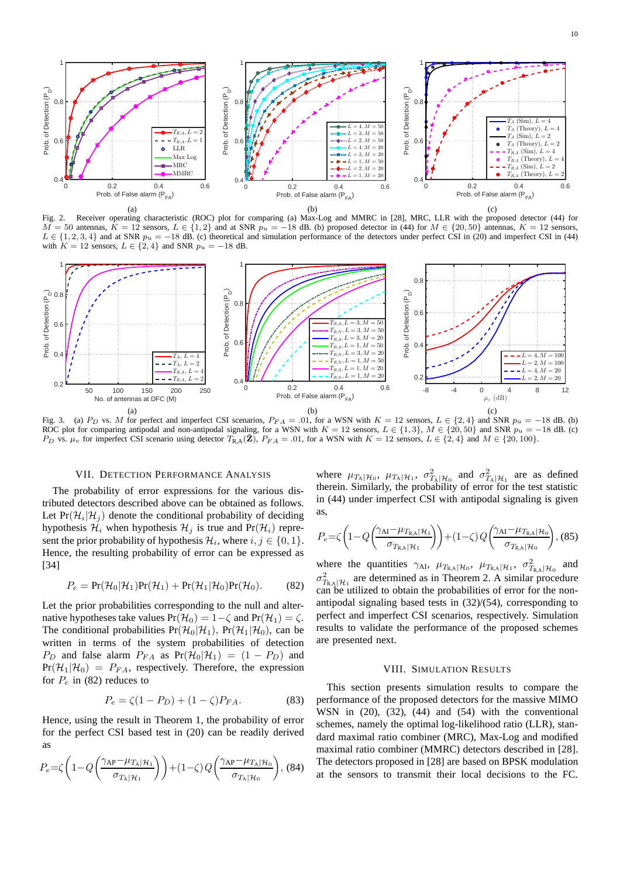

Fig. 2. Receiver operating characteristic (ROC) plot for comparing (a) Max-Log and MMRC in [28], MRC, LLR with the proposed detector (44) for  $M = 50$  antennas,  $K = 12$  sensors,  $L \in \{1, 2\}$  and at SNR  $p_u = -18$  dB. (b) proposed detector in (44) for  $M \in \{20, 50\}$  antennas,  $K = 12$  sensors,  $L \in \{1, 2, 3, 4\}$  and at SNR  $p_u = -18$  dB. (c) theoretical and simulation performance of the detectors under perfect CSI in (20) and imperfect CSI in (44) with  $K = 12$  sensors,  $L \in \{2, 4\}$  and SNR  $p_u = -18$  dB.



Fig. 3. (a) P<sub>D</sub> vs. M for perfect and imperfect CSI scenarios,  $P_{FA} = .01$ , for a WSN with K = 12 sensors, L ∈ {2, 4} and SNR  $p_u = -18$  dB. (b) ROC plot for comparing antipodal and non-antipodal signaling, for a WSN with  $K = 12$  sensors,  $L \in \{1, 3\}$ ,  $M \in \{20, 50\}$  and SNR  $p_u = -18$  dB. (c) P<sub>D</sub> vs.  $\mu_v$  for imperfect CSI scenario using detector  $T_{R,A}(\mathbf{Z})$ ,  $P_{FA} = .01$ , for a WSN with  $K = 12$  sensors,  $L \in \{2, 4\}$  and  $M \in \{20, 100\}$ .

# VII. DETECTION PERFORMANCE ANALYSIS

The probability of error expressions for the various distributed detectors described above can be obtained as follows. Let  $Pr(\mathcal{H}_i | \mathcal{H}_j)$  denote the conditional probability of deciding hypothesis  $\mathcal{H}_i$  when hypothesis  $\mathcal{H}_i$  is true and Pr( $\mathcal{H}_i$ ) represent the prior probability of hypothesis  $\mathcal{H}_i$ , where  $i, j \in \{0, 1\}$ . Hence, the resulting probability of error can be expressed as [34]

$$
P_e = \Pr(\mathcal{H}_0|\mathcal{H}_1)\Pr(\mathcal{H}_1) + \Pr(\mathcal{H}_1|\mathcal{H}_0)\Pr(\mathcal{H}_0).
$$
 (82)

Let the prior probabilities corresponding to the null and alternative hypotheses take values  $Pr(\mathcal{H}_0) = 1 - \zeta$  and  $Pr(\mathcal{H}_1) = \zeta$ . The conditional probabilities  $Pr(\mathcal{H}_0|\mathcal{H}_1)$ ,  $Pr(\mathcal{H}_1|\mathcal{H}_0)$ , can be written in terms of the system probabilities of detection  $P_D$  and false alarm  $P_{FA}$  as  $Pr(\mathcal{H}_0|\mathcal{H}_1) = (1 - P_D)$  and  $Pr(\mathcal{H}_1|\mathcal{H}_0) = P_{FA}$ , respectively. Therefore, the expression for  $P_e$  in (82) reduces to

$$
P_e = \zeta (1 - P_D) + (1 - \zeta) P_{FA}.
$$
 (83)

Hence, using the result in Theorem 1, the probability of error for the perfect CSI based test in (20) can be readily derived as

$$
P_e = \zeta \left( 1 - Q \left( \frac{\gamma_{\rm AP} - \mu_{T_{\rm A}|\mathcal{H}_1}}{\sigma_{T_{\rm A}|\mathcal{H}_1}} \right) \right) + (1 - \zeta) Q \left( \frac{\gamma_{\rm AP} - \mu_{T_{\rm A}|\mathcal{H}_0}}{\sigma_{T_{\rm A}|\mathcal{H}_0}} \right), (84)
$$

where  $\mu_{T_A|\mathcal{H}_0}$ ,  $\mu_{T_A|\mathcal{H}_1}$ ,  $\sigma_{T_A|\mathcal{H}_0}^2$  and  $\sigma_{T_A|\mathcal{H}_1}^2$  are as defined therein. Similarly, the probability of error for the test statistic in (44) under imperfect CSI with antipodal signaling is given as,

$$
P_e = \zeta \left( 1 - Q \left( \frac{\gamma_{\text{Al}} - \mu_{T_{\text{R},\text{A}}|\mathcal{H}_1}}{\sigma_{T_{\text{R},\text{A}}|\mathcal{H}_1}} \right) \right) + (1 - \zeta) Q \left( \frac{\gamma_{\text{Al}} - \mu_{T_{\text{R},\text{A}}|\mathcal{H}_0}}{\sigma_{T_{\text{R},\text{A}}|\mathcal{H}_0}} \right), (85)
$$

where the quantities  $\gamma_{AI}$ ,  $\mu_{T_{RA}|\mathcal{H}_0}$ ,  $\mu_{T_{RA}|\mathcal{H}_1}$ ,  $\sigma_{T_{RA}|\mathcal{H}_0}^2$  and  $\sigma_{T_{R,A}|H_1}^2$  are determined as in Theorem 2. A similar procedure can be utilized to obtain the probabilities of error for the nonantipodal signaling based tests in (32)/(54), corresponding to perfect and imperfect CSI scenarios, respectively. Simulation results to validate the performance of the proposed schemes are presented next.

# VIII. SIMULATION RESULTS

This section presents simulation results to compare the performance of the proposed detectors for the massive MIMO WSN in (20), (32), (44) and (54) with the conventional schemes, namely the optimal log-likelihood ratio (LLR), standard maximal ratio combiner (MRC), Max-Log and modified maximal ratio combiner (MMRC) detectors described in [28]. The detectors proposed in [28] are based on BPSK modulation at the sensors to transmit their local decisions to the FC.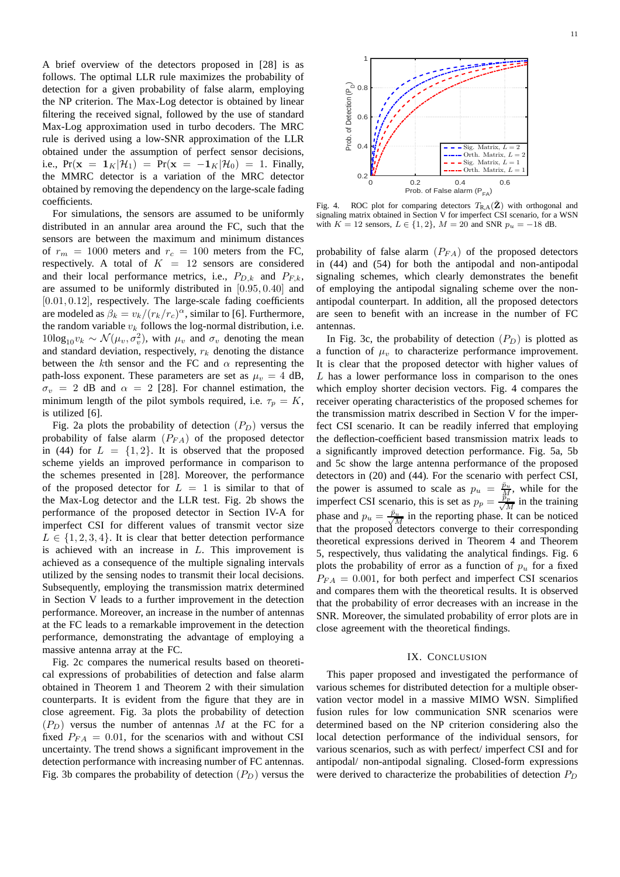A brief overview of the detectors proposed in [28] is as follows. The optimal LLR rule maximizes the probability of detection for a given probability of false alarm, employing the NP criterion. The Max-Log detector is obtained by linear filtering the received signal, followed by the use of standard Max-Log approximation used in turbo decoders. The MRC rule is derived using a low-SNR approximation of the LLR obtained under the assumption of perfect sensor decisions, i.e.,  $Pr(\mathbf{x} = \mathbf{1}_K | \mathcal{H}_1) = Pr(\mathbf{x} = -\mathbf{1}_K | \mathcal{H}_0) = 1$ . Finally, the MMRC detector is a variation of the MRC detector obtained by removing the dependency on the large-scale fading coefficients.

For simulations, the sensors are assumed to be uniformly distributed in an annular area around the FC, such that the sensors are between the maximum and minimum distances of  $r_m = 1000$  meters and  $r_c = 100$  meters from the FC, respectively. A total of  $K = 12$  sensors are considered and their local performance metrics, i.e.,  $P_{D,k}$  and  $P_{F,k}$ , are assumed to be uniformly distributed in [0.95, 0.40] and [0.01, 0.12], respectively. The large-scale fading coefficients are modeled as  $\beta_k = v_k/(r_k/r_c)^{\alpha}$ , similar to [6]. Furthermore, the random variable  $v_k$  follows the log-normal distribution, i.e.  $10\log_{10}v_k \sim \mathcal{N}(\mu_v, \sigma_v^2)$ , with  $\mu_v$  and  $\sigma_v$  denoting the mean and standard deviation, respectively,  $r_k$  denoting the distance between the kth sensor and the FC and  $\alpha$  representing the path-loss exponent. These parameters are set as  $\mu_v = 4$  dB,  $\sigma_v$  = 2 dB and  $\alpha$  = 2 [28]. For channel estimation, the minimum length of the pilot symbols required, i.e.  $\tau_p = K$ , is utilized [6].

Fig. 2a plots the probability of detection  $(P_D)$  versus the probability of false alarm  $(P_{FA})$  of the proposed detector in (44) for  $L = \{1, 2\}$ . It is observed that the proposed scheme yields an improved performance in comparison to the schemes presented in [28]. Moreover, the performance of the proposed detector for  $L = 1$  is similar to that of the Max-Log detector and the LLR test. Fig. 2b shows the performance of the proposed detector in Section IV-A for imperfect CSI for different values of transmit vector size  $L \in \{1, 2, 3, 4\}$ . It is clear that better detection performance is achieved with an increase in L. This improvement is achieved as a consequence of the multiple signaling intervals utilized by the sensing nodes to transmit their local decisions. Subsequently, employing the transmission matrix determined in Section V leads to a further improvement in the detection performance. Moreover, an increase in the number of antennas at the FC leads to a remarkable improvement in the detection performance, demonstrating the advantage of employing a massive antenna array at the FC.

Fig. 2c compares the numerical results based on theoretical expressions of probabilities of detection and false alarm obtained in Theorem 1 and Theorem 2 with their simulation counterparts. It is evident from the figure that they are in close agreement. Fig. 3a plots the probability of detection  $(P_D)$  versus the number of antennas M at the FC for a fixed  $P_{FA} = 0.01$ , for the scenarios with and without CSI uncertainty. The trend shows a significant improvement in the detection performance with increasing number of FC antennas. Fig. 3b compares the probability of detection  $(P_D)$  versus the



Fig. 4. ROC plot for comparing detectors  $T_{R,A}(\tilde{Z})$  with orthogonal and signaling matrix obtained in Section V for imperfect CSI scenario, for a WSN with  $K = 12$  sensors,  $L \in \{1, 2\}$ ,  $M = 20$  and SNR  $p_u = -18$  dB.

probability of false alarm  $(P_{FA})$  of the proposed detectors in (44) and (54) for both the antipodal and non-antipodal signaling schemes, which clearly demonstrates the benefit of employing the antipodal signaling scheme over the nonantipodal counterpart. In addition, all the proposed detectors are seen to benefit with an increase in the number of FC antennas.

In Fig. 3c, the probability of detection  $(P_D)$  is plotted as a function of  $\mu_v$  to characterize performance improvement. It is clear that the proposed detector with higher values of L has a lower performance loss in comparison to the ones which employ shorter decision vectors. Fig. 4 compares the receiver operating characteristics of the proposed schemes for the transmission matrix described in Section V for the imperfect CSI scenario. It can be readily inferred that employing the deflection-coefficient based transmission matrix leads to a significantly improved detection performance. Fig. 5a, 5b and 5c show the large antenna performance of the proposed detectors in (20) and (44). For the scenario with perfect CSI, the power is assumed to scale as  $p_u = \frac{\bar{p}_u}{M}$ , while for the imperfect CSI scenario, this is set as  $p_p = \frac{\vec{p}_p}{\sqrt{\lambda}}$  $\frac{p}{M}$  in the training phase and  $p_u = \frac{\bar{p}_u}{\sqrt{M}}$  in the reporting phase. It can be noticed that the proposed detectors converge to their corresponding theoretical expressions derived in Theorem 4 and Theorem 5, respectively, thus validating the analytical findings. Fig. 6 plots the probability of error as a function of  $p_u$  for a fixed  $P_{FA} = 0.001$ , for both perfect and imperfect CSI scenarios and compares them with the theoretical results. It is observed that the probability of error decreases with an increase in the SNR. Moreover, the simulated probability of error plots are in close agreement with the theoretical findings.

## IX. CONCLUSION

This paper proposed and investigated the performance of various schemes for distributed detection for a multiple observation vector model in a massive MIMO WSN. Simplified fusion rules for low communication SNR scenarios were determined based on the NP criterion considering also the local detection performance of the individual sensors, for various scenarios, such as with perfect/ imperfect CSI and for antipodal/ non-antipodal signaling. Closed-form expressions were derived to characterize the probabilities of detection  $P_D$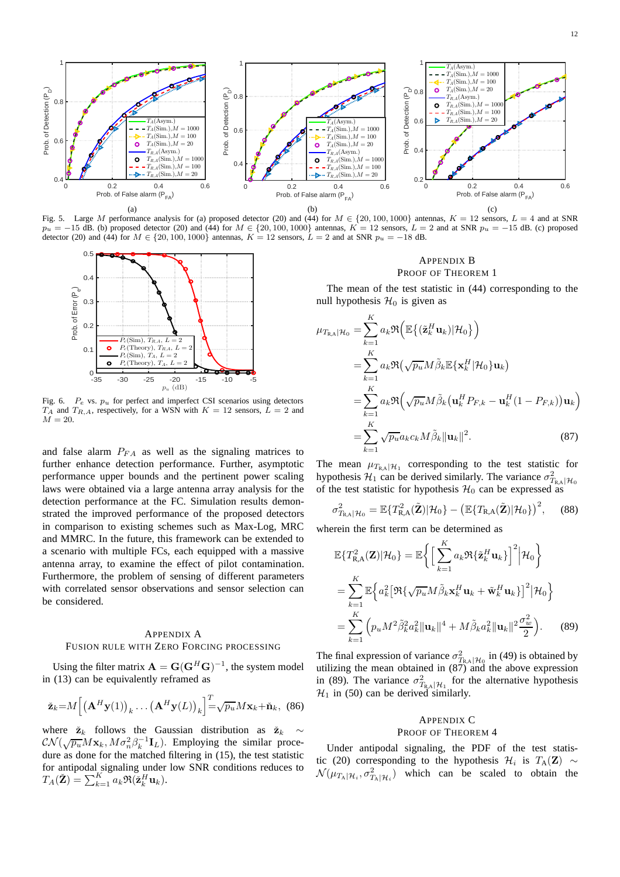

Fig. 5. Large M performance analysis for (a) proposed detector (20) and (44) for  $M \in \{20, 100, 1000\}$  antennas,  $K = 12$  sensors,  $L = 4$  and at SNR  $p_u = -15$  dB. (b) proposed detector (20) and (44) for  $M \in \{20, 100, 1000\}$  antennas,  $K = 12$  sensors,  $L = 2$  and at SNR  $p_u = -15$  dB. (c) proposed detector (20) and (44) for  $M \in \{20, 100, 1000\}$  antennas,  $K = 12$  sensors,  $L = 2$  and at SNR  $p_u = -18$  dB.



Fig. 6.  $P_e$  vs.  $p_u$  for perfect and imperfect CSI scenarios using detectors  $T_A$  and  $T_{R,A}$ , respectively, for a WSN with  $K = 12$  sensors,  $L = 2$  and  $M = 20.$ 

and false alarm  $P_{FA}$  as well as the signaling matrices to further enhance detection performance. Further, asymptotic performance upper bounds and the pertinent power scaling laws were obtained via a large antenna array analysis for the detection performance at the FC. Simulation results demonstrated the improved performance of the proposed detectors in comparison to existing schemes such as Max-Log, MRC and MMRC. In the future, this framework can be extended to a scenario with multiple FCs, each equipped with a massive antenna array, to examine the effect of pilot contamination. Furthermore, the problem of sensing of different parameters with correlated sensor observations and sensor selection can be considered.

# APPENDIX A FUSION RULE WITH ZERO FORCING PROCESSING

Using the filter matrix  $\mathbf{A} = \mathbf{G}(\mathbf{G}^H \mathbf{G})^{-1}$ , the system model in (13) can be equivalently reframed as

$$
\check{\mathbf{z}}_k = M \left[ \left( \mathbf{A}^H \mathbf{y}(1) \right)_k \dots \left( \mathbf{A}^H \mathbf{y}(L) \right)_k \right]^T = \sqrt{p_u} M \mathbf{x}_k + \check{\mathbf{n}}_k, \tag{86}
$$

where  $\check{z}_k$  follows the Gaussian distribution as  $\check{z}_k \sim$  $\mathcal{CN}(\sqrt{p_u}M\mathbf{x}_k, M\sigma_n^2\beta_k^{-1}\mathbf{I}_L)$ . Employing the similar procedure as done for the matched filtering in (15), the test statistic for antipodal signaling under low SNR conditions reduces to  $T_A(\check{\mathbf{Z}}) = \sum_{k=1}^K a_k \Re(\check{\mathbf{z}}_k^H \mathbf{u}_k).$ 

# APPENDIX B PROOF OF THEOREM 1

The mean of the test statistic in (44) corresponding to the null hypothesis  $\mathcal{H}_0$  is given as

$$
\mu_{T_{R,A}|\mathcal{H}_0} = \sum_{k=1}^K a_k \Re \Big( \mathbb{E} \{ (\tilde{\mathbf{z}}_k^H \mathbf{u}_k) | \mathcal{H}_0 \} \Big)
$$
  
\n
$$
= \sum_{k=1}^K a_k \Re \Big( \sqrt{p_u} M \tilde{\beta}_k \mathbb{E} \{ \mathbf{x}_k^H | \mathcal{H}_0 \} \mathbf{u}_k \Big)
$$
  
\n
$$
= \sum_{k=1}^K a_k \Re \Big( \sqrt{p_u} M \tilde{\beta}_k \big( \mathbf{u}_k^H P_{F,k} - \mathbf{u}_k^H (1 - P_{F,k}) \big) \mathbf{u}_k \Big)
$$
  
\n
$$
= \sum_{k=1}^K \sqrt{p_u} a_k c_k M \tilde{\beta}_k ||\mathbf{u}_k||^2.
$$
 (87)

The mean  $\mu_{T_{\rm R,A}|\mathcal{H}_1}$  corresponding to the test statistic for hypothesis  $\mathcal{H}_1$  can be derived similarly. The variance  $\sigma_{T_{R,A}|\mathcal{H}_0}^2$ of the test statistic for hypothesis  $\mathcal{H}_0$  can be expressed as

$$
\sigma_{T_{\mathsf{R},\mathsf{A}}|\mathcal{H}_0}^2 = \mathbb{E}\{T_{\mathsf{R},\mathsf{A}}^2(\tilde{\mathbf{Z}})|\mathcal{H}_0\} - \big(\mathbb{E}\{T_{\mathsf{R},\mathsf{A}}(\tilde{\mathbf{Z}})|\mathcal{H}_0\}\big)^2, \quad (88)
$$

wherein the first term can be determined as

$$
\mathbb{E}\{T_{\mathbf{R},\mathbf{A}}^2(\mathbf{Z})|\mathcal{H}_0\} = \mathbb{E}\bigg\{\Big[\sum_{k=1}^K a_k \Re\{\tilde{\mathbf{z}}_k^H \mathbf{u}_k\}\Big]^2 \Big|\mathcal{H}_0\bigg\}
$$
  
\n
$$
= \sum_{k=1}^K \mathbb{E}\Big\{a_k^2 \big[\Re\{\sqrt{p_u}M\tilde{\beta}_k\mathbf{x}_k^H \mathbf{u}_k + \tilde{\mathbf{w}}_k^H \mathbf{u}_k\}\big]^2 \Big|\mathcal{H}_0\bigg\}
$$
  
\n
$$
= \sum_{k=1}^K \Big(p_u M^2 \tilde{\beta}_k^2 a_k^2 \|\mathbf{u}_k\|^4 + M \tilde{\beta}_k a_k^2 \|\mathbf{u}_k\|^2 \frac{\sigma_w^2}{2}\Big). \tag{89}
$$

The final expression of variance  $\sigma_{T_{R,A}|H_0}^2$  in (49) is obtained by utilizing the mean obtained in  $(87)$  and the above expression in (89). The variance  $\sigma_{T_{R,A}|\mathcal{H}_1}^2$  for the alternative hypothesis  $\mathcal{H}_1$  in (50) can be derived similarly.

# APPENDIX C PROOF OF THEOREM 4

Under antipodal signaling, the PDF of the test statistic (20) corresponding to the hypothesis  $\mathcal{H}_i$  is  $T_A(\mathbf{Z}) \sim$  $\mathcal{N}(\mu_{T_A|\mathcal{H}_i}, \sigma^2_{T_A|\mathcal{H}_i})$  which can be scaled to obtain the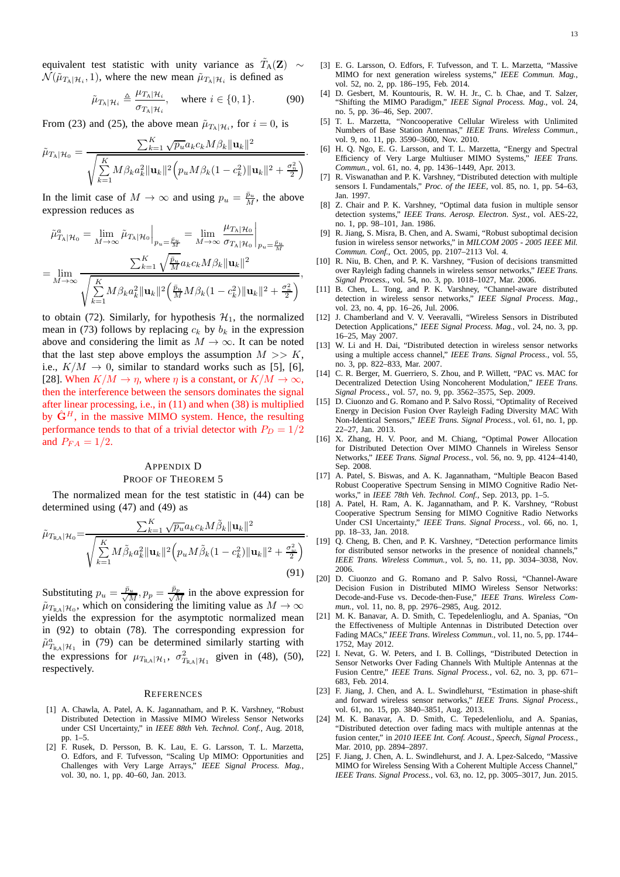equivalent test statistic with unity variance as  $\tilde{T}_{A}(\mathbf{Z}) \sim$  $\mathcal{N}(\tilde{\mu}_{T_{\mathsf{A}}|\mathcal{H}_i}, 1)$ , where the new mean  $\tilde{\mu}_{T_{\mathsf{A}}|\mathcal{H}_i}$  is defined as

$$
\tilde{\mu}_{T_{\mathcal{A}}|\mathcal{H}_i} \triangleq \frac{\mu_{T_{\mathcal{A}}|\mathcal{H}_i}}{\sigma_{T_{\mathcal{A}}|\mathcal{H}_i}}, \quad \text{where } i \in \{0, 1\}.
$$
 (90)

.

From (23) and (25), the above mean  $\tilde{\mu}_{T_A|\mathcal{H}_i}$ , for  $i = 0$ , is

 $=$   $V$ 

$$
\tilde{\mu}_{T_{\rm A}|\mathcal{H}_0} = \frac{\sum_{k=1}^{K} \sqrt{p_u} a_k c_k M \beta_k ||\mathbf{u}_k||^2}{\sqrt{\sum_{k=1}^{K} M \beta_k a_k^2 ||\mathbf{u}_k||^2 \left(p_u M \beta_k (1 - c_k^2) ||\mathbf{u}_k||^2 + \frac{\sigma_n^2}{2}\right)}}
$$

In the limit case of  $M \to \infty$  and using  $p_u = \frac{\bar{p}_u}{M}$ , the above expression reduces as

$$
\tilde{\mu}_{T_{\mathcal{A}}|\mathcal{H}_0}^a = \lim_{M \to \infty} \tilde{\mu}_{T_{\mathcal{A}}|\mathcal{H}_0} \Big|_{p_u = \frac{\tilde{p}_u}{M}} = \lim_{M \to \infty} \frac{\mu_{T_{\mathcal{A}}|\mathcal{H}_0}}{\sigma_{T_{\mathcal{A}}|\mathcal{H}_0}} \Big|_{p_u = \frac{\tilde{p}_u}{M}}
$$
\n
$$
= \lim_{M \to \infty} \frac{\sum_{k=1}^K \sqrt{\frac{\tilde{p}_u}{M}} a_k c_k M \beta_k \|\mathbf{u}_k\|^2}{\sqrt{\sum_{k=1}^K M \beta_k a_k^2 \|\mathbf{u}_k\|^2 \left(\frac{\tilde{p}_u}{M} M \beta_k (1 - c_k^2) \|\mathbf{u}_k\|^2 + \frac{\sigma_n^2}{2}\right)}},
$$

to obtain (72). Similarly, for hypothesis  $\mathcal{H}_1$ , the normalized mean in (73) follows by replacing  $c_k$  by  $b_k$  in the expression above and considering the limit as  $M \to \infty$ . It can be noted that the last step above employs the assumption  $M \gg K$ , i.e.,  $K/M \rightarrow 0$ , similar to standard works such as [5], [6], [28]. When  $K/M \to \eta$ , where  $\eta$  is a constant, or  $K/M \to \infty$ , then the interference between the sensors dominates the signal after linear processing, i.e., in (11) and when (38) is multiplied by  $\hat{G}^H$ , in the massive MIMO system. Hence, the resulting performance tends to that of a trivial detector with  $P_D = 1/2$ and  $P_{FA} = 1/2$ .

# APPENDIX D PROOF OF THEOREM 5

The normalized mean for the test statistic in (44) can be determined using (47) and (49) as

$$
\tilde{\mu}_{T_{R,A}|\mathcal{H}_0} = \frac{\sum_{k=1}^K \sqrt{p_u} a_k c_k M \tilde{\beta}_k ||\mathbf{u}_k||^2}{\sqrt{\sum_{k=1}^K M \tilde{\beta}_k a_k^2 ||\mathbf{u}_k||^2 \left(p_u M \tilde{\beta}_k (1 - c_k^2) ||\mathbf{u}_k||^2 + \frac{\sigma_w^2}{2}\right)}}.
$$
\n(91)

Substituting  $p_u = \frac{\bar{p}_u}{\sqrt{M}}, p_p = \frac{\bar{p}_p}{\sqrt{M}}$  $\frac{d^2 p}{M}$  in the above expression for  $\tilde{\mu}_{T_{\text{RA}}|\mathcal{H}_0}$ , which on considering the limiting value as  $M \to \infty$ yields the expression for the asymptotic normalized mean in (92) to obtain (78). The corresponding expression for  $\tilde{\mu}_{T_{\rm R,A}}^a$  in (79) can be determined similarly starting with the expressions for  $\mu_{T_{\text{RA}}|\mathcal{H}_1}$ ,  $\sigma_{T_{\text{RA}}|\mathcal{H}_1}^2$  given in (48), (50), respectively.

#### **REFERENCES**

- [1] A. Chawla, A. Patel, A. K. Jagannatham, and P. K. Varshney, "Robust Distributed Detection in Massive MIMO Wireless Sensor Networks under CSI Uncertainty," in *IEEE 88th Veh. Technol. Conf.*, Aug. 2018, pp. 1–5.
- [2] F. Rusek, D. Persson, B. K. Lau, E. G. Larsson, T. L. Marzetta, O. Edfors, and F. Tufvesson, "Scaling Up MIMO: Opportunities and Challenges with Very Large Arrays," *IEEE Signal Process. Mag.*, vol. 30, no. 1, pp. 40–60, Jan. 2013.
- [3] E. G. Larsson, O. Edfors, F. Tufvesson, and T. L. Marzetta, "Massive MIMO for next generation wireless systems," *IEEE Commun. Mag.*, vol. 52, no. 2, pp. 186–195, Feb. 2014.
- D. Gesbert, M. Kountouris, R. W. H. Jr., C. b. Chae, and T. Salzer, "Shifting the MIMO Paradigm," *IEEE Signal Process. Mag.*, vol. 24, no. 5, pp. 36–46, Sep. 2007.
- [5] T. L. Marzetta, "Noncooperative Cellular Wireless with Unlimited Numbers of Base Station Antennas," *IEEE Trans. Wireless Commun.*, vol. 9, no. 11, pp. 3590–3600, Nov. 2010.
- [6] H. Q. Ngo, E. G. Larsson, and T. L. Marzetta, "Energy and Spectral Efficiency of Very Large Multiuser MIMO Systems," *IEEE Trans. Commun.*, vol. 61, no. 4, pp. 1436–1449, Apr. 2013.
- [7] R. Viswanathan and P. K. Varshney, "Distributed detection with multiple sensors I. Fundamentals," *Proc. of the IEEE*, vol. 85, no. 1, pp. 54–63, Jan. 1997.
- [8] Z. Chair and P. K. Varshney, "Optimal data fusion in multiple sensor detection systems," *IEEE Trans. Aerosp. Electron. Syst.*, vol. AES-22, no. 1, pp. 98–101, Jan. 1986.
- [9] R. Jiang, S. Misra, B. Chen, and A. Swami, "Robust suboptimal decision fusion in wireless sensor networks," in *MILCOM 2005 - 2005 IEEE Mil. Commun. Conf.*, Oct. 2005, pp. 2107–2113 Vol. 4.
- [10] R. Niu, B. Chen, and P. K. Varshney, "Fusion of decisions transmitted over Rayleigh fading channels in wireless sensor networks," *IEEE Trans. Signal Process.*, vol. 54, no. 3, pp. 1018–1027, Mar. 2006.
- [11] B. Chen, L. Tong, and P. K. Varshney, "Channel-aware distributed detection in wireless sensor networks," *IEEE Signal Process. Mag.*, vol. 23, no. 4, pp. 16–26, Jul. 2006.
- [12] J. Chamberland and V. V. Veeravalli, "Wireless Sensors in Distributed Detection Applications," *IEEE Signal Process. Mag.*, vol. 24, no. 3, pp. 16–25, May 2007.
- [13] W. Li and H. Dai, "Distributed detection in wireless sensor networks using a multiple access channel," *IEEE Trans. Signal Process.*, vol. 55, no. 3, pp. 822–833, Mar. 2007.
- [14] C. R. Berger, M. Guerriero, S. Zhou, and P. Willett, "PAC vs. MAC for Decentralized Detection Using Noncoherent Modulation," *IEEE Trans. Signal Process.*, vol. 57, no. 9, pp. 3562–3575, Sep. 2009.
- [15] D. Ciuonzo and G. Romano and P. Salvo Rossi, "Optimality of Received Energy in Decision Fusion Over Rayleigh Fading Diversity MAC With Non-Identical Sensors," *IEEE Trans. Signal Process.*, vol. 61, no. 1, pp. 22–27, Jan. 2013.
- [16] X. Zhang, H. V. Poor, and M. Chiang, "Optimal Power Allocation for Distributed Detection Over MIMO Channels in Wireless Sensor Networks," *IEEE Trans. Signal Process.*, vol. 56, no. 9, pp. 4124–4140, Sep. 2008.
- [17] A. Patel, S. Biswas, and A. K. Jagannatham, "Multiple Beacon Based Robust Cooperative Spectrum Sensing in MIMO Cognitive Radio Networks," in *IEEE 78th Veh. Technol. Conf.*, Sep. 2013, pp. 1–5.
- [18] A. Patel, H. Ram, A. K. Jagannatham, and P. K. Varshney, "Robust Cooperative Spectrum Sensing for MIMO Cognitive Radio Networks Under CSI Uncertainty," *IEEE Trans. Signal Process.*, vol. 66, no. 1, pp. 18–33, Jan. 2018.
- [19] Q. Cheng, B. Chen, and P. K. Varshney, "Detection performance limits for distributed sensor networks in the presence of nonideal channels," *IEEE Trans. Wireless Commun.*, vol. 5, no. 11, pp. 3034–3038, Nov. 2006.
- [20] D. Ciuonzo and G. Romano and P. Salvo Rossi, "Channel-Aware Decision Fusion in Distributed MIMO Wireless Sensor Networks: Decode-and-Fuse vs. Decode-then-Fuse," *IEEE Trans. Wireless Commun.*, vol. 11, no. 8, pp. 2976–2985, Aug. 2012.
- [21] M. K. Banavar, A. D. Smith, C. Tepedelenlioglu, and A. Spanias, "On the Effectiveness of Multiple Antennas in Distributed Detection over Fading MACs," *IEEE Trans. Wireless Commun.*, vol. 11, no. 5, pp. 1744– 1752, May 2012.
- [22] I. Nevat, G. W. Peters, and I. B. Collings, "Distributed Detection in Sensor Networks Over Fading Channels With Multiple Antennas at the Fusion Centre," *IEEE Trans. Signal Process.*, vol. 62, no. 3, pp. 671– 683, Feb. 2014.
- [23] F. Jiang, J. Chen, and A. L. Swindlehurst, "Estimation in phase-shift and forward wireless sensor networks," *IEEE Trans. Signal Process.*, vol. 61, no. 15, pp. 3840–3851, Aug. 2013.
- [24] M. K. Banavar, A. D. Smith, C. Tepedelenliolu, and A. Spanias, "Distributed detection over fading macs with multiple antennas at the fusion center," in *2010 IEEE Int. Conf. Acoust., Speech, Signal Process.*, Mar. 2010, pp. 2894–2897.
- [25] F. Jiang, J. Chen, A. L. Swindlehurst, and J. A. Lpez-Salcedo, "Massive MIMO for Wireless Sensing With a Coherent Multiple Access Channel," *IEEE Trans. Signal Process.*, vol. 63, no. 12, pp. 3005–3017, Jun. 2015.